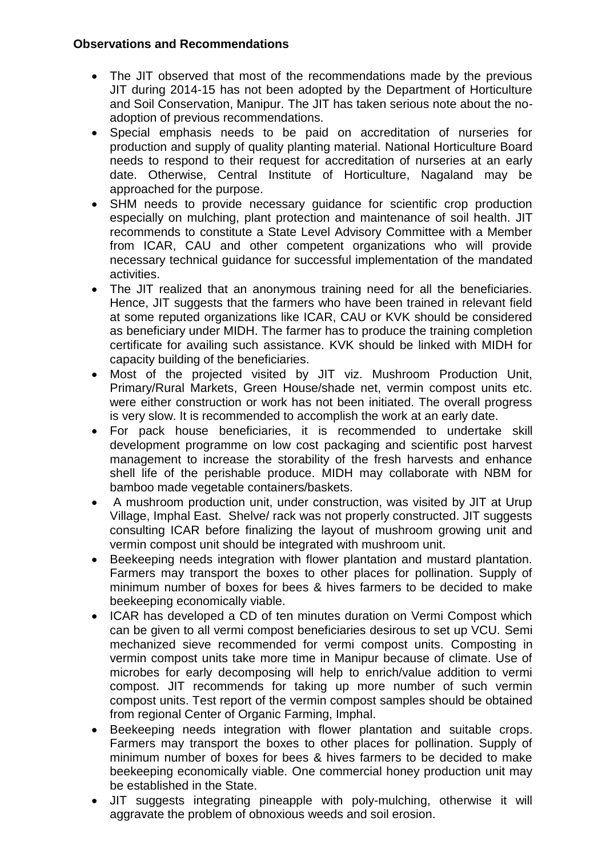#### **Observations and Recommendations**

- The JIT observed that most of the recommendations made by the previous JIT during 2014-15 has not been adopted by the Department of Horticulture and Soil Conservation, Manipur. The JIT has taken serious note about the noadoption of previous recommendations.
- Special emphasis needs to be paid on accreditation of nurseries for production and supply of quality planting material. National Horticulture Board needs to respond to their request for accreditation of nurseries at an early date. Otherwise, Central Institute of Horticulture, Nagaland may be approached for the purpose.
- SHM needs to provide necessary guidance for scientific crop production especially on mulching, plant protection and maintenance of soil health. JIT recommends to constitute a State Level Advisory Committee with a Member from ICAR, CAU and other competent organizations who will provide necessary technical guidance for successful implementation of the mandated activities.
- The JIT realized that an anonymous training need for all the beneficiaries. Hence, JIT suggests that the farmers who have been trained in relevant field at some reputed organizations like ICAR, CAU or KVK should be considered as beneficiary under MIDH. The farmer has to produce the training completion certificate for availing such assistance. KVK should be linked with MIDH for capacity building of the beneficiaries.
- Most of the projected visited by JIT viz. Mushroom Production Unit, Primary/Rural Markets, Green House/shade net, vermin compost units etc. were either construction or work has not been initiated. The overall progress is very slow. It is recommended to accomplish the work at an early date.
- For pack house beneficiaries, it is recommended to undertake skill development programme on low cost packaging and scientific post harvest management to increase the storability of the fresh harvests and enhance shell life of the perishable produce. MIDH may collaborate with NBM for bamboo made vegetable containers/baskets.
- A mushroom production unit, under construction, was visited by JIT at Urup Village, Imphal East. Shelve/ rack was not properly constructed. JIT suggests consulting ICAR before finalizing the layout of mushroom growing unit and vermin compost unit should be integrated with mushroom unit.
- Beekeeping needs integration with flower plantation and mustard plantation. Farmers may transport the boxes to other places for pollination. Supply of minimum number of boxes for bees & hives farmers to be decided to make beekeeping economically viable.
- ICAR has developed a CD of ten minutes duration on Vermi Compost which can be given to all vermi compost beneficiaries desirous to set up VCU. Semi mechanized sieve recommended for vermi compost units. Composting in vermin compost units take more time in Manipur because of climate. Use of microbes for early decomposing will help to enrich/value addition to vermi compost. JIT recommends for taking up more number of such vermin compost units. Test report of the vermin compost samples should be obtained from regional Center of Organic Farming, Imphal.
- Beekeeping needs integration with flower plantation and suitable crops. Farmers may transport the boxes to other places for pollination. Supply of minimum number of boxes for bees & hives farmers to be decided to make beekeeping economically viable. One commercial honey production unit may be established in the State.
- JIT suggests integrating pineapple with poly-mulching, otherwise it will aggravate the problem of obnoxious weeds and soil erosion.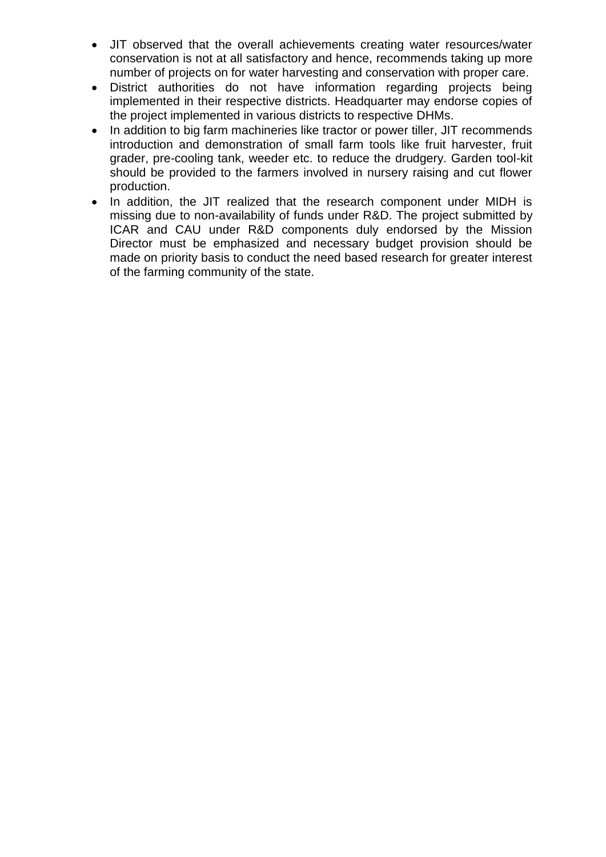- JIT observed that the overall achievements creating water resources/water conservation is not at all satisfactory and hence, recommends taking up more number of projects on for water harvesting and conservation with proper care.
- District authorities do not have information regarding projects being implemented in their respective districts. Headquarter may endorse copies of the project implemented in various districts to respective DHMs.
- In addition to big farm machineries like tractor or power tiller, JIT recommends introduction and demonstration of small farm tools like fruit harvester, fruit grader, pre-cooling tank, weeder etc. to reduce the drudgery. Garden tool-kit should be provided to the farmers involved in nursery raising and cut flower production.
- In addition, the JIT realized that the research component under MIDH is missing due to non-availability of funds under R&D. The project submitted by ICAR and CAU under R&D components duly endorsed by the Mission Director must be emphasized and necessary budget provision should be made on priority basis to conduct the need based research for greater interest of the farming community of the state.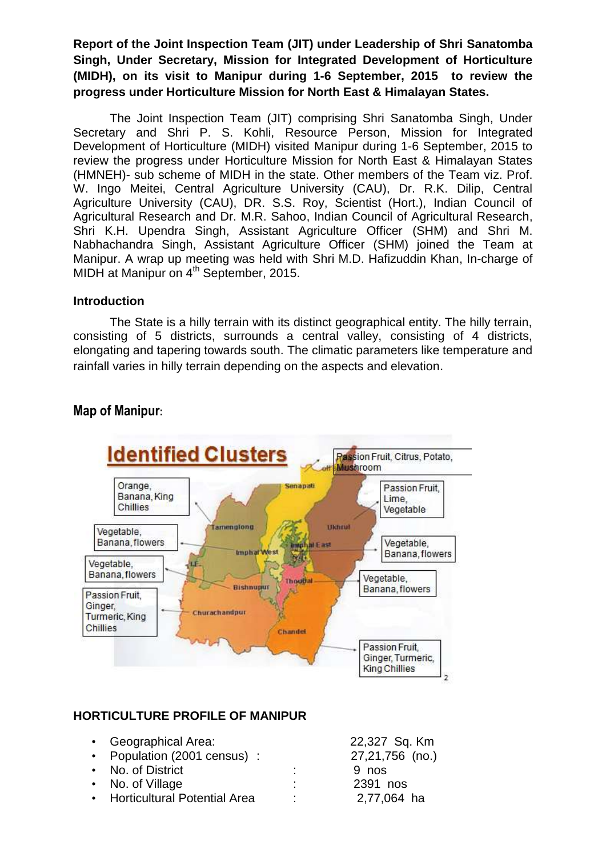**Report of the Joint Inspection Team (JIT) under Leadership of Shri Sanatomba Singh, Under Secretary, Mission for Integrated Development of Horticulture (MIDH), on its visit to Manipur during 1-6 September, 2015 to review the progress under Horticulture Mission for North East & Himalayan States.**

The Joint Inspection Team (JIT) comprising Shri Sanatomba Singh, Under Secretary and Shri P. S. Kohli, Resource Person, Mission for Integrated Development of Horticulture (MIDH) visited Manipur during 1-6 September, 2015 to review the progress under Horticulture Mission for North East & Himalayan States (HMNEH)- sub scheme of MIDH in the state. Other members of the Team viz. Prof. W. Ingo Meitei, Central Agriculture University (CAU), Dr. R.K. Dilip, Central Agriculture University (CAU), DR. S.S. Roy, Scientist (Hort.), Indian Council of Agricultural Research and Dr. M.R. Sahoo, Indian Council of Agricultural Research, Shri K.H. Upendra Singh, Assistant Agriculture Officer (SHM) and Shri M. Nabhachandra Singh, Assistant Agriculture Officer (SHM) joined the Team at Manipur. A wrap up meeting was held with Shri M.D. Hafizuddin Khan, In-charge of MIDH at Manipur on 4<sup>th</sup> September, 2015.

#### **Introduction**

The State is a hilly terrain with its distinct geographical entity. The hilly terrain, consisting of 5 districts, surrounds a central valley, consisting of 4 districts, elongating and tapering towards south. The climatic parameters like temperature and rainfall varies in hilly terrain depending on the aspects and elevation.



## **Map of Manipur:**

#### **HORTICULTURE PROFILE OF MANIPUR**

| • Geographical Area:           |    | 22,327 Sq. Km   |
|--------------------------------|----|-----------------|
| • Population (2001 census):    |    | 27,21,756 (no.) |
| • No. of District              |    | 9 nos           |
| • No. of Village               | ٠  | 2391 nos        |
| • Horticultural Potential Area | т. | 2,77,064 ha     |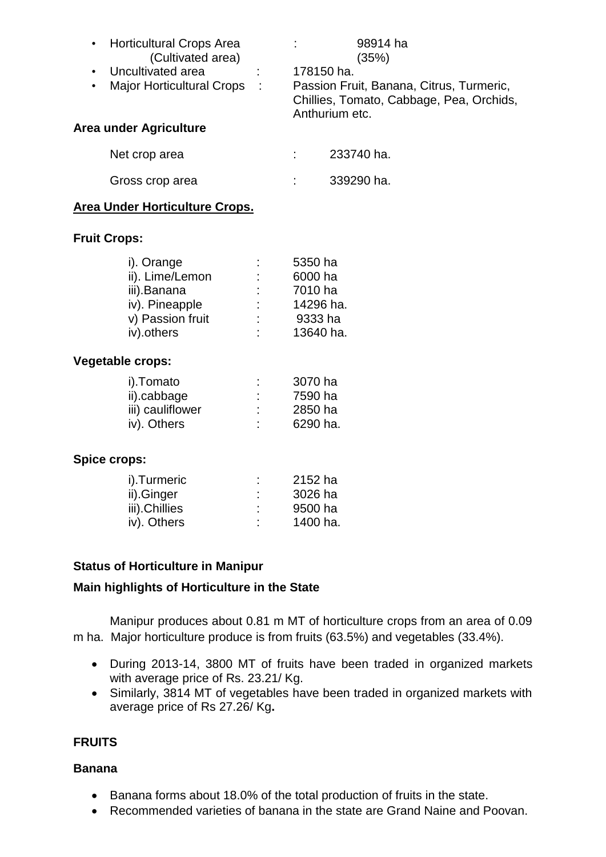| • Horticultural Crops Area<br>(Cultivated area)<br>Uncultivated area<br>$\bullet$<br>Major Horticultural Crops :<br>Area under Agriculture |  | 98914 ha<br>(35%)<br>178150 ha.<br>Passion Fruit, Banana, Citrus, Turmeric,<br>Chillies, Tomato, Cabbage, Pea, Orchids,<br>Anthurium etc. |  |
|--------------------------------------------------------------------------------------------------------------------------------------------|--|-------------------------------------------------------------------------------------------------------------------------------------------|--|
| Net crop area                                                                                                                              |  | 233740 ha.                                                                                                                                |  |
| Gross crop area                                                                                                                            |  | 339290 ha.                                                                                                                                |  |

#### **Area Under Horticulture Crops.**

#### **Fruit Crops:**

| i). Orange       |    | 5350 ha   |
|------------------|----|-----------|
| ii). Lime/Lemon  | ÷  | 6000 ha   |
| iii).Banana      | t. | 7010 ha   |
| iv). Pineapple   | ÷  | 14296 ha. |
| v) Passion fruit | ٠  | 9333 ha   |
| iv).others       | ۰  | 13640 ha. |
|                  |    |           |

#### **Vegetable crops:**

| i).Tomato        | ٠<br>٠ | 3070 ha  |
|------------------|--------|----------|
| ii).cabbage      | ÷      | 7590 ha  |
| iii) cauliflower | ٠<br>٠ | 2850 ha  |
| iv). Others      | ٠      | 6290 ha. |
|                  |        |          |

#### **Spice crops:**

| i).Turmeric   | ٠ | 2152 ha  |
|---------------|---|----------|
| ii).Ginger    | ٠ | 3026 ha  |
| iii).Chillies | ٠ | 9500 ha  |
| iv). Others   | ٠ | 1400 ha. |
|               |   |          |

#### **Status of Horticulture in Manipur**

#### **Main highlights of Horticulture in the State**

Manipur produces about 0.81 m MT of horticulture crops from an area of 0.09 m ha. Major horticulture produce is from fruits (63.5%) and vegetables (33.4%).

- During 2013-14, 3800 MT of fruits have been traded in organized markets with average price of Rs. 23.21/ Kg.
- Similarly, 3814 MT of vegetables have been traded in organized markets with average price of Rs 27.26/ Kg**.**

#### **FRUITS**

#### **Banana**

- Banana forms about 18.0% of the total production of fruits in the state.
- Recommended varieties of banana in the state are Grand Naine and Poovan.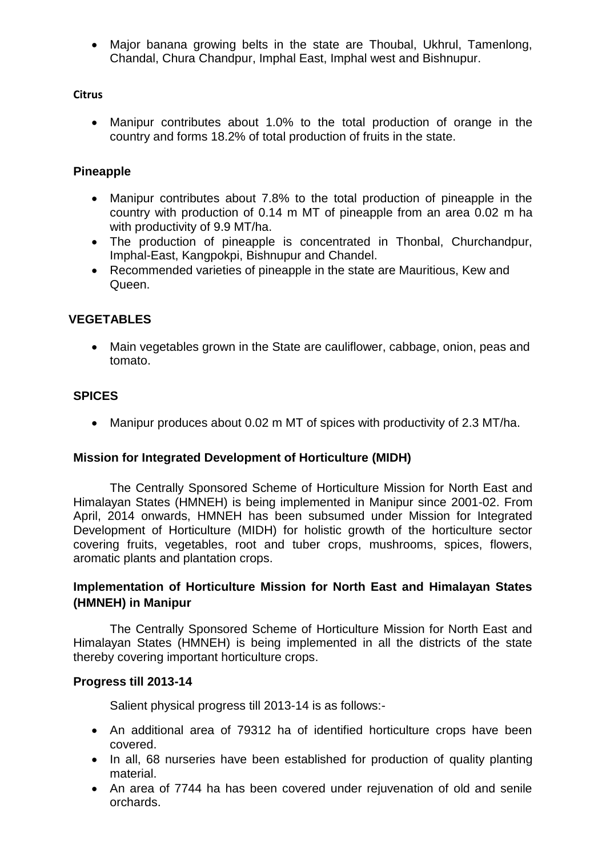Major banana growing belts in the state are Thoubal, Ukhrul, Tamenlong, Chandal, Chura Chandpur, Imphal East, Imphal west and Bishnupur.

#### **Citrus**

 Manipur contributes about 1.0% to the total production of orange in the country and forms 18.2% of total production of fruits in the state.

#### **Pineapple**

- Manipur contributes about 7.8% to the total production of pineapple in the country with production of 0.14 m MT of pineapple from an area 0.02 m ha with productivity of 9.9 MT/ha.
- The production of pineapple is concentrated in Thonbal, Churchandpur, Imphal-East, Kangpokpi, Bishnupur and Chandel.
- Recommended varieties of pineapple in the state are Mauritious, Kew and Queen.

#### **VEGETABLES**

 Main vegetables grown in the State are cauliflower, cabbage, onion, peas and tomato.

#### **SPICES**

Manipur produces about 0.02 m MT of spices with productivity of 2.3 MT/ha.

#### **Mission for Integrated Development of Horticulture (MIDH)**

The Centrally Sponsored Scheme of Horticulture Mission for North East and Himalayan States (HMNEH) is being implemented in Manipur since 2001-02. From April, 2014 onwards, HMNEH has been subsumed under Mission for Integrated Development of Horticulture (MIDH) for holistic growth of the horticulture sector covering fruits, vegetables, root and tuber crops, mushrooms, spices, flowers, aromatic plants and plantation crops.

#### **Implementation of Horticulture Mission for North East and Himalayan States (HMNEH) in Manipur**

The Centrally Sponsored Scheme of Horticulture Mission for North East and Himalayan States (HMNEH) is being implemented in all the districts of the state thereby covering important horticulture crops.

#### **Progress till 2013-14**

Salient physical progress till 2013-14 is as follows:-

- An additional area of 79312 ha of identified horticulture crops have been covered.
- In all, 68 nurseries have been established for production of quality planting material.
- An area of 7744 ha has been covered under rejuvenation of old and senile orchards.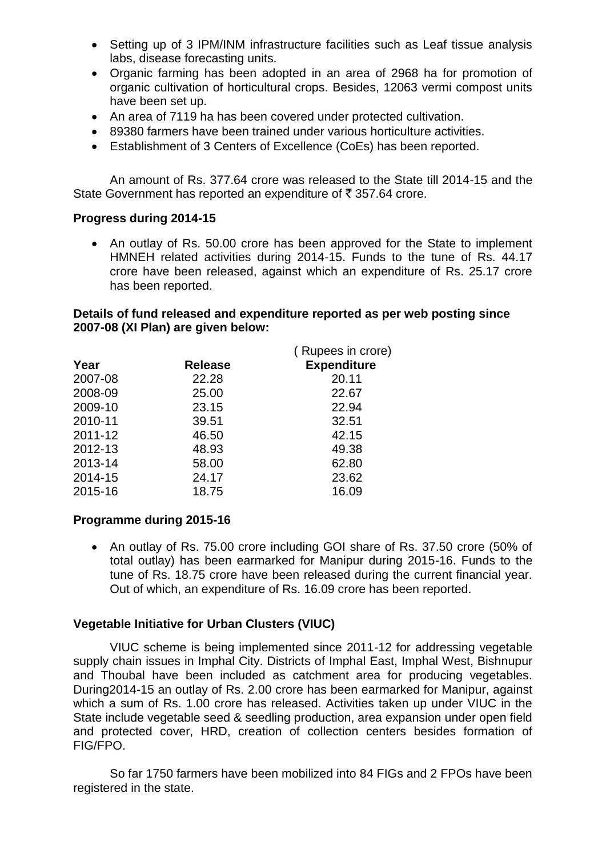- Setting up of 3 IPM/INM infrastructure facilities such as Leaf tissue analysis labs, disease forecasting units.
- Organic farming has been adopted in an area of 2968 ha for promotion of organic cultivation of horticultural crops. Besides, 12063 vermi compost units have been set up.
- An area of 7119 ha has been covered under protected cultivation.
- 89380 farmers have been trained under various horticulture activities.
- Establishment of 3 Centers of Excellence (CoEs) has been reported.

An amount of Rs. 377.64 crore was released to the State till 2014-15 and the State Government has reported an expenditure of  $\bar{\tau}$  357.64 crore.

#### **Progress during 2014-15**

 An outlay of Rs. 50.00 crore has been approved for the State to implement HMNEH related activities during 2014-15. Funds to the tune of Rs. 44.17 crore have been released, against which an expenditure of Rs. 25.17 crore has been reported.

#### **Details of fund released and expenditure reported as per web posting since 2007-08 (XI Plan) are given below:**

|         |                | (Rupees in crore)  |
|---------|----------------|--------------------|
| Year    | <b>Release</b> | <b>Expenditure</b> |
| 2007-08 | 22.28          | 20.11              |
| 2008-09 | 25.00          | 22.67              |
| 2009-10 | 23.15          | 22.94              |
| 2010-11 | 39.51          | 32.51              |
| 2011-12 | 46.50          | 42.15              |
| 2012-13 | 48.93          | 49.38              |
| 2013-14 | 58.00          | 62.80              |
| 2014-15 | 24.17          | 23.62              |
| 2015-16 | 18.75          | 16.09              |
|         |                |                    |

#### **Programme during 2015-16**

• An outlay of Rs. 75.00 crore including GOI share of Rs. 37.50 crore (50% of total outlay) has been earmarked for Manipur during 2015-16. Funds to the tune of Rs. 18.75 crore have been released during the current financial year. Out of which, an expenditure of Rs. 16.09 crore has been reported.

#### **Vegetable Initiative for Urban Clusters (VIUC)**

VIUC scheme is being implemented since 2011-12 for addressing vegetable supply chain issues in Imphal City. Districts of Imphal East, Imphal West, Bishnupur and Thoubal have been included as catchment area for producing vegetables. During2014-15 an outlay of Rs. 2.00 crore has been earmarked for Manipur, against which a sum of Rs. 1.00 crore has released. Activities taken up under VIUC in the State include vegetable seed & seedling production, area expansion under open field and protected cover, HRD, creation of collection centers besides formation of FIG/FPO.

So far 1750 farmers have been mobilized into 84 FIGs and 2 FPOs have been registered in the state.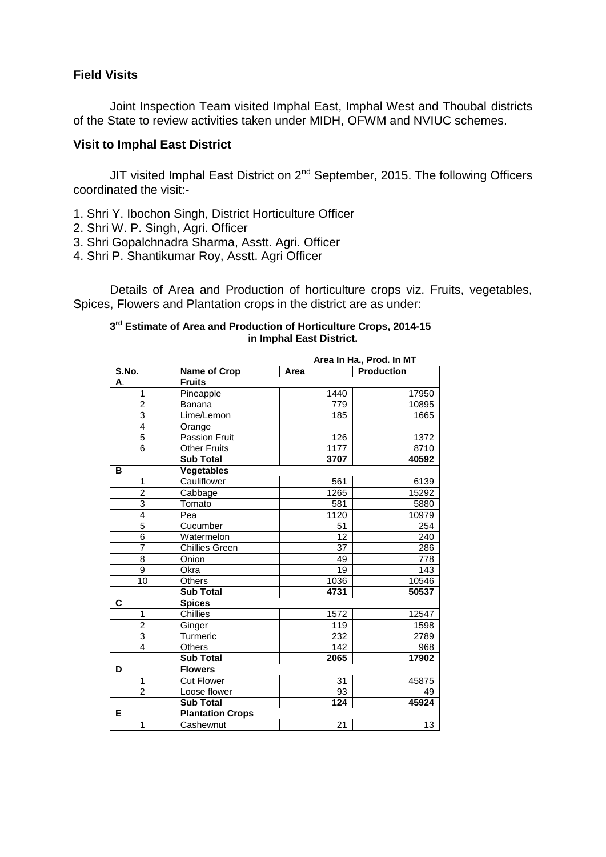#### **Field Visits**

Joint Inspection Team visited Imphal East, Imphal West and Thoubal districts of the State to review activities taken under MIDH, OFWM and NVIUC schemes.

#### **Visit to Imphal East District**

JIT visited Imphal East District on  $2<sup>nd</sup>$  September, 2015. The following Officers coordinated the visit:-

- 1. Shri Y. Ibochon Singh, District Horticulture Officer
- 2. Shri W. P. Singh, Agri. Officer
- 3. Shri Gopalchnadra Sharma, Asstt. Agri. Officer
- 4. Shri P. Shantikumar Roy, Asstt. Agri Officer

Details of Area and Production of horticulture crops viz. Fruits, vegetables, Spices, Flowers and Plantation crops in the district are as under:

#### **3 rd Estimate of Area and Production of Horticulture Crops, 2014-15 in Imphal East District.**

|                | Area In Ha., Prod. In MT |      |                   |
|----------------|--------------------------|------|-------------------|
| S.No.          | Name of Crop             | Area | <b>Production</b> |
| А.             | <b>Fruits</b>            |      |                   |
| 1              | Pineapple                | 1440 | 17950             |
| $\overline{2}$ | Banana                   | 779  | 10895             |
| $\overline{3}$ | Lime/Lemon               | 185  | 1665              |
| 4              | Orange                   |      |                   |
| $\overline{5}$ | Passion Fruit            | 126  | 1372              |
| $\overline{6}$ | <b>Other Fruits</b>      | 1177 | 8710              |
|                | <b>Sub Total</b>         | 3707 | 40592             |
| в              | <b>Vegetables</b>        |      |                   |
| 1              | Cauliflower              | 561  | 6139              |
| $\overline{2}$ | Cabbage                  | 1265 | 15292             |
| 3              | Tomato                   | 581  | 5880              |
| $\overline{4}$ | Pea                      | 1120 | 10979             |
| 5              | Cucumber                 | 51   | 254               |
| $\overline{6}$ | Watermelon               | 12   | 240               |
| $\overline{7}$ | Chillies Green           | 37   | 286               |
| 8              | Onion                    | 49   | 778               |
| 9              | Okra                     | 19   | 143               |
| 10             | Others                   | 1036 | 10546             |
|                | <b>Sub Total</b>         | 4731 | 50537             |
| C              | <b>Spices</b>            |      |                   |
| $\mathbf{1}$   | Chillies                 | 1572 | 12547             |
| $\overline{2}$ | Ginger                   | 119  | 1598              |
| $\overline{3}$ | Turmeric                 | 232  | 2789              |
| $\overline{4}$ | <b>Others</b>            | 142  | 968               |
|                | <b>Sub Total</b>         | 2065 | 17902             |
| D              | <b>Flowers</b>           |      |                   |
| $\overline{1}$ | <b>Cut Flower</b>        | 31   | 45875             |
| $\overline{2}$ | Loose flower             | 93   | 49                |
|                | <b>Sub Total</b>         | 124  | 45924             |
| E.             | <b>Plantation Crops</b>  |      |                   |
| $\mathbf{1}$   | Cashewnut                | 21   | 13                |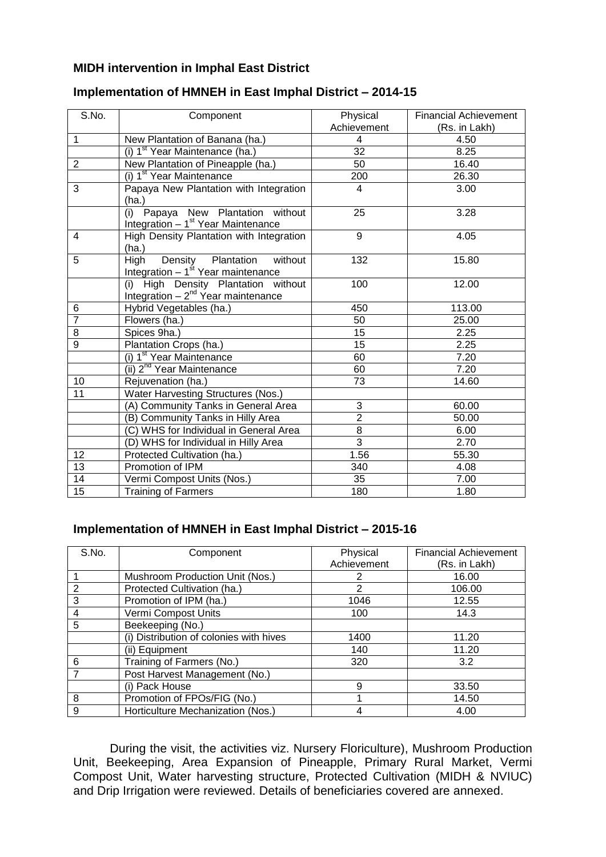#### **MIDH intervention in Imphal East District**

| S.No.           | Component                                                                        | Physical<br>Achievement | <b>Financial Achievement</b><br>(Rs. in Lakh) |
|-----------------|----------------------------------------------------------------------------------|-------------------------|-----------------------------------------------|
| 1               | New Plantation of Banana (ha.)                                                   | 4                       | 4.50                                          |
|                 | (i) 1 <sup>st</sup> Year Maintenance (ha.)                                       | $\overline{32}$         | 8.25                                          |
| $\overline{2}$  | New Plantation of Pineapple (ha.)                                                | 50                      | 16.40                                         |
|                 | (i) 1 <sup>st</sup> Year Maintenance                                             | 200                     | 26.30                                         |
| 3               | Papaya New Plantation with Integration<br>(ha.)                                  | 4                       | 3.00                                          |
|                 | Papaya New Plantation without<br>(i)<br>Integration $-1st$ Year Maintenance      | 25                      | 3.28                                          |
| 4               | High Density Plantation with Integration<br>(ha.)                                | 9                       | 4.05                                          |
| 5               | Density Plantation<br>High<br>without<br>Integration $-1st$ Year maintenance     | 132                     | 15.80                                         |
|                 | High Density Plantation without<br>(i)<br>Integration $-2^{nd}$ Year maintenance | 100                     | 12.00                                         |
| 6               | Hybrid Vegetables (ha.)                                                          | 450                     | 113.00                                        |
| $\overline{7}$  | Flowers (ha.)                                                                    | 50                      | 25.00                                         |
| 8               | Spices 9ha.)                                                                     | 15                      | 2.25                                          |
| $\overline{9}$  | Plantation Crops (ha.)                                                           | 15                      | 2.25                                          |
|                 | (i) 1 <sup>st</sup> Year Maintenance                                             | 60                      | $\overline{7.20}$                             |
|                 | (ii) 2 <sup>nd</sup> Year Maintenance                                            | 60                      | 7.20                                          |
| 10              | Rejuvenation (ha.)                                                               | 73                      | 14.60                                         |
| $\overline{11}$ | <b>Water Harvesting Structures (Nos.)</b>                                        |                         |                                               |
|                 | (A) Community Tanks in General Area                                              | 3                       | 60.00                                         |
|                 | (B) Community Tanks in Hilly Area                                                | $\overline{2}$          | 50.00                                         |
|                 | (C) WHS for Individual in General Area                                           | $\overline{8}$          | 6.00                                          |
|                 | (D) WHS for Individual in Hilly Area                                             | $\overline{3}$          | $\overline{2.70}$                             |
| 12              | Protected Cultivation (ha.)                                                      | 1.56                    | 55.30                                         |
| 13              | Promotion of IPM                                                                 | 340                     | 4.08                                          |
| 14              | Vermi Compost Units (Nos.)                                                       | $\overline{35}$         | 7.00                                          |
| $\overline{15}$ | <b>Training of Farmers</b>                                                       | 180                     | 1.80                                          |

#### **Implementation of HMNEH in East Imphal District – 2014-15**

#### **Implementation of HMNEH in East Imphal District – 2015-16**

| S.No. | Component                               | Physical    | <b>Financial Achievement</b> |
|-------|-----------------------------------------|-------------|------------------------------|
|       |                                         | Achievement | (Rs. in Lakh)                |
|       | Mushroom Production Unit (Nos.)         | 2           | 16.00                        |
| 2     | Protected Cultivation (ha.)             | 2           | 106.00                       |
| 3     | Promotion of IPM (ha.)                  | 1046        | 12.55                        |
| 4     | Vermi Compost Units                     | 100         | 14.3                         |
| 5     | Beekeeping (No.)                        |             |                              |
|       | (i) Distribution of colonies with hives | 1400        | 11.20                        |
|       | (ii) Equipment                          | 140         | 11.20                        |
| 6     | Training of Farmers (No.)               | 320         | 3.2                          |
|       | Post Harvest Management (No.)           |             |                              |
|       | (i) Pack House                          | 9           | 33.50                        |
| 8     | Promotion of FPOs/FIG (No.)             |             | 14.50                        |
| 9     | Horticulture Mechanization (Nos.)       | 4           | 4.00                         |

During the visit, the activities viz. Nursery Floriculture), Mushroom Production Unit, Beekeeping, Area Expansion of Pineapple, Primary Rural Market, Vermi Compost Unit, Water harvesting structure, Protected Cultivation (MIDH & NVIUC) and Drip Irrigation were reviewed. Details of beneficiaries covered are annexed.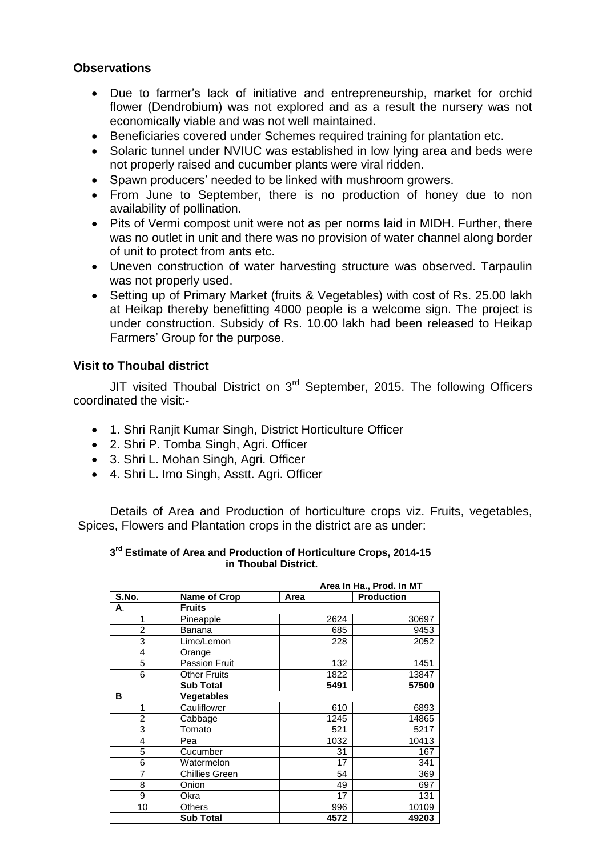#### **Observations**

- Due to farmer's lack of initiative and entrepreneurship, market for orchid flower (Dendrobium) was not explored and as a result the nursery was not economically viable and was not well maintained.
- Beneficiaries covered under Schemes required training for plantation etc.
- Solaric tunnel under NVIUC was established in low lying area and beds were not properly raised and cucumber plants were viral ridden.
- Spawn producers' needed to be linked with mushroom growers.
- From June to September, there is no production of honey due to non availability of pollination.
- Pits of Vermi compost unit were not as per norms laid in MIDH. Further, there was no outlet in unit and there was no provision of water channel along border of unit to protect from ants etc.
- Uneven construction of water harvesting structure was observed. Tarpaulin was not properly used.
- Setting up of Primary Market (fruits & Vegetables) with cost of Rs. 25.00 lakh at Heikap thereby benefitting 4000 people is a welcome sign. The project is under construction. Subsidy of Rs. 10.00 lakh had been released to Heikap Farmers' Group for the purpose.

#### **Visit to Thoubal district**

JIT visited Thoubal District on  $3<sup>rd</sup>$  September, 2015. The following Officers coordinated the visit:-

- 1. Shri Ranjit Kumar Singh, District Horticulture Officer
- 2. Shri P. Tomba Singh, Agri. Officer
- 3. Shri L. Mohan Singh, Agri. Officer
- 4. Shri L. Imo Singh, Asstt. Agri. Officer

Details of Area and Production of horticulture crops viz. Fruits, vegetables, Spices, Flowers and Plantation crops in the district are as under:

#### **3 rd Estimate of Area and Production of Horticulture Crops, 2014-15 in Thoubal District.**

|                |                       |      | Area In Ha., Prod. In MT |
|----------------|-----------------------|------|--------------------------|
| S.No.          | <b>Name of Crop</b>   | Area | <b>Production</b>        |
| А.             | <b>Fruits</b>         |      |                          |
| 1              | Pineapple             | 2624 | 30697                    |
| $\overline{2}$ | Banana                | 685  | 9453                     |
| 3              | Lime/Lemon            | 228  | 2052                     |
| $\overline{4}$ | Orange                |      |                          |
| 5              | <b>Passion Fruit</b>  | 132  | 1451                     |
| 6              | <b>Other Fruits</b>   | 1822 | 13847                    |
|                | Sub Total             | 5491 | 57500                    |
| в              | <b>Vegetables</b>     |      |                          |
| 1              | Cauliflower           | 610  | 6893                     |
| $\overline{2}$ | Cabbage               | 1245 | 14865                    |
| 3              | Tomato                | 521  | 5217                     |
| $\overline{4}$ | Pea                   | 1032 | 10413                    |
| 5              | Cucumber              | 31   | 167                      |
| 6              | Watermelon            | 17   | 341                      |
| 7              | <b>Chillies Green</b> | 54   | 369                      |
| 8              | Onion                 | 49   | 697                      |
| 9              | Okra                  | 17   | 131                      |
| 10             | Others                | 996  | 10109                    |
|                | <b>Sub Total</b>      | 4572 | 49203                    |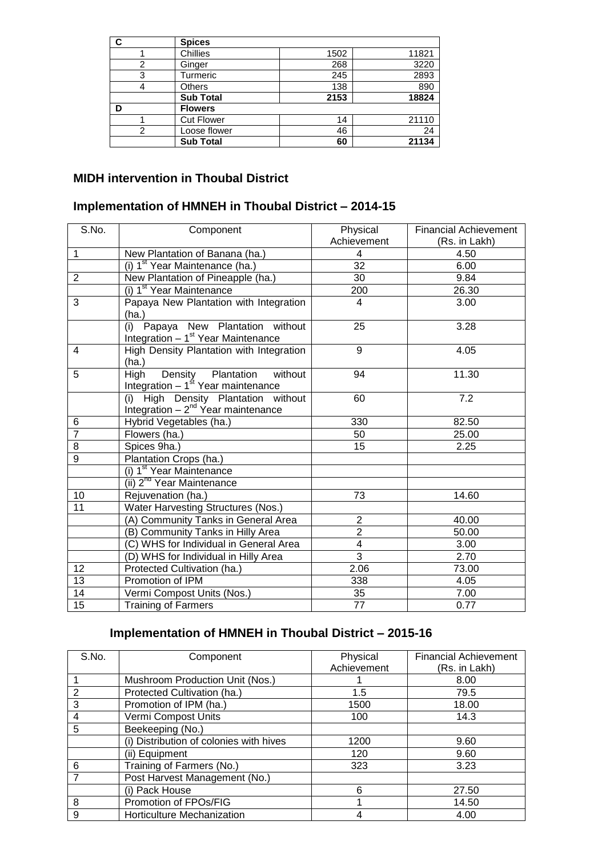| C | <b>Spices</b>     |      |       |
|---|-------------------|------|-------|
|   | Chillies          | 1502 | 11821 |
|   | Ginger            | 268  | 3220  |
| 3 | Turmeric          | 245  | 2893  |
|   | <b>Others</b>     | 138  | 890   |
|   | <b>Sub Total</b>  | 2153 | 18824 |
| D | <b>Flowers</b>    |      |       |
|   | <b>Cut Flower</b> | 14   | 21110 |
| 2 | Loose flower      | 46   | 24    |
|   | <b>Sub Total</b>  | 60   | 21134 |

## **MIDH intervention in Thoubal District**

### **Implementation of HMNEH in Thoubal District – 2014-15**

| S.No.          | Component                                                                           | Physical                | <b>Financial Achievement</b> |
|----------------|-------------------------------------------------------------------------------------|-------------------------|------------------------------|
|                |                                                                                     | Achievement             | (Rs. in Lakh)                |
| $\mathbf{1}$   | New Plantation of Banana (ha.)                                                      | 4                       | 4.50                         |
|                | (i) 1 <sup>st</sup> Year Maintenance (ha.)                                          | $\overline{32}$         | 6.00                         |
| $\overline{2}$ | New Plantation of Pineapple (ha.)                                                   | 30                      | 9.84                         |
|                | (i) 1 <sup>st</sup> Year Maintenance                                                | 200                     | 26.30                        |
| 3              | Papaya New Plantation with Integration<br>(ha.)                                     | 4                       | 3.00                         |
|                | Papaya New Plantation without<br>(i)<br>Integration $-1st$ Year Maintenance         | 25                      | 3.28                         |
| 4              | High Density Plantation with Integration<br>(ha.)                                   | 9                       | 4.05                         |
| 5              | Density Plantation<br><b>High</b><br>without<br>Integration $-1st$ Year maintenance | 94                      | 11.30                        |
|                | High Density Plantation without<br>(i)<br>Integration $-2^{nd}$ Year maintenance    | 60                      | 7.2                          |
| 6              | Hybrid Vegetables (ha.)                                                             | 330                     | 82.50                        |
| $\overline{7}$ | Flowers (ha.)                                                                       | 50                      | 25.00                        |
| 8              | Spices 9ha.)                                                                        | 15                      | 2.25                         |
| 9              | Plantation Crops (ha.)                                                              |                         |                              |
|                | (i) 1 <sup>st</sup> Year Maintenance                                                |                         |                              |
|                | (ii) 2 <sup>nd</sup> Year Maintenance                                               |                         |                              |
| 10             | Rejuvenation (ha.)                                                                  | 73                      | 14.60                        |
| 11             | Water Harvesting Structures (Nos.)                                                  |                         |                              |
|                | (A) Community Tanks in General Area                                                 | $\overline{2}$          | 40.00                        |
|                | (B) Community Tanks in Hilly Area                                                   | $\overline{\mathbf{c}}$ | 50.00                        |
|                | (C) WHS for Individual in General Area                                              | $\overline{4}$          | 3.00                         |
|                | (D) WHS for Individual in Hilly Area                                                | $\overline{3}$          | 2.70                         |
| 12             | Protected Cultivation (ha.)                                                         | 2.06                    | 73.00                        |
| 13             | Promotion of IPM                                                                    | 338                     | 4.05                         |
| 14             | Vermi Compost Units (Nos.)                                                          | 35                      | 7.00                         |
| 15             | <b>Training of Farmers</b>                                                          | 77                      | 0.77                         |

# **Implementation of HMNEH in Thoubal District – 2015-16**

| S.No.          | Component                               | Physical    | <b>Financial Achievement</b> |
|----------------|-----------------------------------------|-------------|------------------------------|
|                |                                         | Achievement | (Rs. in Lakh)                |
|                | Mushroom Production Unit (Nos.)         |             | 8.00                         |
| $\overline{2}$ | Protected Cultivation (ha.)             | 1.5         | 79.5                         |
| 3              | Promotion of IPM (ha.)                  | 1500        | 18.00                        |
| 4              | Vermi Compost Units                     | 100         | 14.3                         |
| 5              | Beekeeping (No.)                        |             |                              |
|                | (i) Distribution of colonies with hives | 1200        | 9.60                         |
|                | (ii) Equipment                          | 120         | 9.60                         |
| 6              | Training of Farmers (No.)               | 323         | 3.23                         |
|                | Post Harvest Management (No.)           |             |                              |
|                | (i) Pack House                          | 6           | 27.50                        |
| 8              | Promotion of FPOs/FIG                   |             | 14.50                        |
| 9              | Horticulture Mechanization              | 4           | 4.00                         |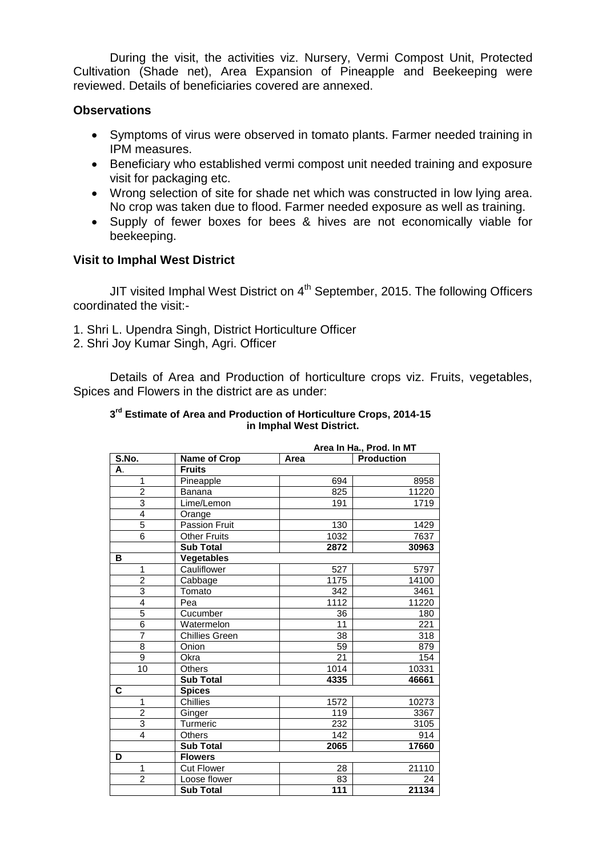During the visit, the activities viz. Nursery, Vermi Compost Unit, Protected Cultivation (Shade net), Area Expansion of Pineapple and Beekeeping were reviewed. Details of beneficiaries covered are annexed.

#### **Observations**

- Symptoms of virus were observed in tomato plants. Farmer needed training in IPM measures.
- Beneficiary who established vermi compost unit needed training and exposure visit for packaging etc.
- Wrong selection of site for shade net which was constructed in low lying area. No crop was taken due to flood. Farmer needed exposure as well as training.
- Supply of fewer boxes for bees & hives are not economically viable for beekeeping.

#### **Visit to Imphal West District**

JIT visited Imphal West District on 4<sup>th</sup> September, 2015. The following Officers coordinated the visit:-

- 1. Shri L. Upendra Singh, District Horticulture Officer
- 2. Shri Joy Kumar Singh, Agri. Officer

Details of Area and Production of horticulture crops viz. Fruits, vegetables, Spices and Flowers in the district are as under:

#### **3 rd Estimate of Area and Production of Horticulture Crops, 2014-15 in Imphal West District.**

|                                       |                       |                  | Area In Ha., Prod. In MT |
|---------------------------------------|-----------------------|------------------|--------------------------|
| $\overline{\mathsf{S}.\mathsf{No}}$ . | <b>Name of Crop</b>   | Area             | <b>Production</b>        |
| А.                                    | <b>Fruits</b>         |                  |                          |
| 1                                     | Pineapple             | 694              | 8958                     |
| $\overline{2}$                        | Banana                | 825              | 11220                    |
| $\overline{3}$                        | Lime/Lemon            | 191              | 1719                     |
| $\overline{4}$                        | Orange                |                  |                          |
| 5                                     | <b>Passion Fruit</b>  | 130              | 1429                     |
| $\overline{6}$                        | <b>Other Fruits</b>   | 1032             | 7637                     |
|                                       | <b>Sub Total</b>      | 2872             | 30963                    |
| в                                     | <b>Vegetables</b>     |                  |                          |
| 1                                     | Cauliflower           | 527              | 5797                     |
| $\overline{2}$                        | Cabbage               | 1175             | 14100                    |
| $\overline{3}$                        | Tomato                | 342              | 3461                     |
| $\overline{4}$                        | Pea                   | 1112             | 11220                    |
| 5                                     | Cucumber              | 36               | 180                      |
| $\overline{6}$                        | Watermelon            | 11               | $\overline{221}$         |
| $\overline{7}$                        | <b>Chillies Green</b> | 38               | 318                      |
| $\overline{8}$                        | Onion                 | 59               | 879                      |
| $\overline{9}$                        | Okra                  | $\overline{21}$  | 154                      |
| 10                                    | Others                | 1014             | 10331                    |
|                                       | <b>Sub Total</b>      | 4335             | 46661                    |
| C                                     | <b>Spices</b>         |                  |                          |
| 1                                     | <b>Chillies</b>       | 1572             | 10273                    |
| $\overline{2}$                        | Ginger                | 119              | 3367                     |
| $\overline{3}$                        | Turmeric              | 232              | 3105                     |
| 4                                     | Others                | 142              | 914                      |
|                                       | <b>Sub Total</b>      | 2065             | 17660                    |
| D                                     | <b>Flowers</b>        |                  |                          |
| 1                                     | <b>Cut Flower</b>     | 28               | 21110                    |
| $\overline{2}$                        | Loose flower          | 83               | 24                       |
|                                       | <b>Sub Total</b>      | $\overline{111}$ | 21134                    |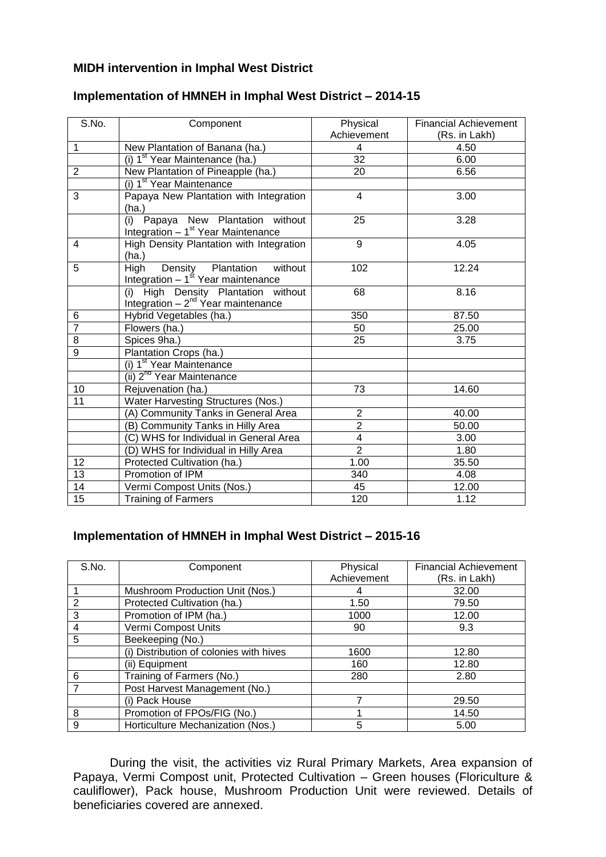#### **MIDH intervention in Imphal West District**

| S.No.           | Component                                                                              | Physical<br>Achievement | <b>Financial Achievement</b><br>(Rs. in Lakh) |
|-----------------|----------------------------------------------------------------------------------------|-------------------------|-----------------------------------------------|
| 1               | New Plantation of Banana (ha.)                                                         | 4                       | 4.50                                          |
|                 | (i) 1 <sup>st</sup> Year Maintenance (ha.)                                             | $\overline{32}$         | 6.00                                          |
| $\overline{2}$  | New Plantation of Pineapple (ha.)                                                      | 20                      | 6.56                                          |
|                 | (i) 1 <sup>st</sup> Year Maintenance                                                   |                         |                                               |
| 3               | Papaya New Plantation with Integration<br>(ha.)                                        | $\overline{4}$          | 3.00                                          |
|                 | Papaya New Plantation without<br>(i)<br>Integration - 1 <sup>st</sup> Year Maintenance | 25                      | 3.28                                          |
| 4               | High Density Plantation with Integration<br>(ha.)                                      | 9                       | 4.05                                          |
| 5               | Density Plantation<br>High<br>without<br>Integration $-1st$ Year maintenance           | 102                     | 12.24                                         |
|                 | (i) High Density Plantation without<br>Integration $-2^{nd}$ Year maintenance          | 68                      | 8.16                                          |
| 6               | Hybrid Vegetables (ha.)                                                                | 350                     | 87.50                                         |
| $\overline{7}$  | Flowers (ha.)                                                                          | 50                      | 25.00                                         |
| $\overline{8}$  | Spices 9ha.)                                                                           | 25                      | 3.75                                          |
| $\overline{9}$  | Plantation Crops (ha.)                                                                 |                         |                                               |
|                 | (i) 1 <sup>st</sup> Year Maintenance                                                   |                         |                                               |
|                 | (ii) 2 <sup>nd</sup> Year Maintenance                                                  |                         |                                               |
| 10              | Rejuvenation (ha.)                                                                     | 73                      | 14.60                                         |
| 11              | Water Harvesting Structures (Nos.)                                                     |                         |                                               |
|                 | (A) Community Tanks in General Area                                                    | $\overline{2}$          | 40.00                                         |
|                 | (B) Community Tanks in Hilly Area                                                      | $\overline{2}$          | 50.00                                         |
|                 | (C) WHS for Individual in General Area                                                 | 4                       | 3.00                                          |
|                 | (D) WHS for Individual in Hilly Area                                                   | $\overline{2}$          | 1.80                                          |
| 12              | Protected Cultivation (ha.)                                                            | 1.00                    | 35.50                                         |
| $\overline{13}$ | Promotion of IPM                                                                       | 340                     | 4.08                                          |
| 14              | Vermi Compost Units (Nos.)                                                             | 45                      | 12.00                                         |
| 15              | <b>Training of Farmers</b>                                                             | 120                     | 1.12                                          |

### **Implementation of HMNEH in Imphal West District – 2014-15**

#### **Implementation of HMNEH in Imphal West District – 2015-16**

| S.No. | Component                               | Physical    | <b>Financial Achievement</b> |
|-------|-----------------------------------------|-------------|------------------------------|
|       |                                         | Achievement | (Rs. in Lakh)                |
|       | Mushroom Production Unit (Nos.)         |             | 32.00                        |
| 2     | Protected Cultivation (ha.)             | 1.50        | 79.50                        |
| 3     | Promotion of IPM (ha.)                  | 1000        | 12.00                        |
| 4     | Vermi Compost Units                     | 90          | 9.3                          |
| 5     | Beekeeping (No.)                        |             |                              |
|       | (i) Distribution of colonies with hives | 1600        | 12.80                        |
|       | (ii) Equipment                          | 160         | 12.80                        |
| 6     | Training of Farmers (No.)               | 280         | 2.80                         |
|       | Post Harvest Management (No.)           |             |                              |
|       | (i) Pack House                          | ⇁           | 29.50                        |
| 8     | Promotion of FPOs/FIG (No.)             |             | 14.50                        |
| 9     | Horticulture Mechanization (Nos.)       | 5           | 5.00                         |

During the visit, the activities viz Rural Primary Markets, Area expansion of Papaya, Vermi Compost unit, Protected Cultivation – Green houses (Floriculture & cauliflower), Pack house, Mushroom Production Unit were reviewed. Details of beneficiaries covered are annexed.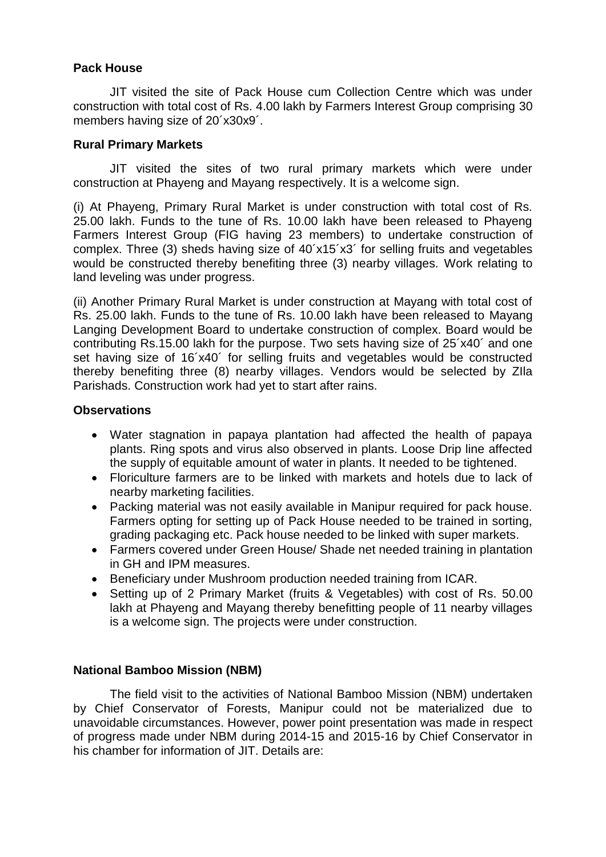#### **Pack House**

JIT visited the site of Pack House cum Collection Centre which was under construction with total cost of Rs. 4.00 lakh by Farmers Interest Group comprising 30 members having size of 20´x30x9´.

#### **Rural Primary Markets**

JIT visited the sites of two rural primary markets which were under construction at Phayeng and Mayang respectively. It is a welcome sign.

(i) At Phayeng, Primary Rural Market is under construction with total cost of Rs. 25.00 lakh. Funds to the tune of Rs. 10.00 lakh have been released to Phayeng Farmers Interest Group (FIG having 23 members) to undertake construction of complex. Three (3) sheds having size of 40´x15´x3´ for selling fruits and vegetables would be constructed thereby benefiting three (3) nearby villages. Work relating to land leveling was under progress.

(ii) Another Primary Rural Market is under construction at Mayang with total cost of Rs. 25.00 lakh. Funds to the tune of Rs. 10.00 lakh have been released to Mayang Langing Development Board to undertake construction of complex. Board would be contributing Rs.15.00 lakh for the purpose. Two sets having size of 25´x40´ and one set having size of 16´x40´ for selling fruits and vegetables would be constructed thereby benefiting three (8) nearby villages. Vendors would be selected by ZIla Parishads. Construction work had yet to start after rains.

#### **Observations**

- Water stagnation in papaya plantation had affected the health of papaya plants. Ring spots and virus also observed in plants. Loose Drip line affected the supply of equitable amount of water in plants. It needed to be tightened.
- Floriculture farmers are to be linked with markets and hotels due to lack of nearby marketing facilities.
- Packing material was not easily available in Manipur required for pack house. Farmers opting for setting up of Pack House needed to be trained in sorting, grading packaging etc. Pack house needed to be linked with super markets.
- Farmers covered under Green House/ Shade net needed training in plantation in GH and IPM measures.
- Beneficiary under Mushroom production needed training from ICAR.
- Setting up of 2 Primary Market (fruits & Vegetables) with cost of Rs. 50.00 lakh at Phayeng and Mayang thereby benefitting people of 11 nearby villages is a welcome sign. The projects were under construction.

#### **National Bamboo Mission (NBM)**

The field visit to the activities of National Bamboo Mission (NBM) undertaken by Chief Conservator of Forests, Manipur could not be materialized due to unavoidable circumstances. However, power point presentation was made in respect of progress made under NBM during 2014-15 and 2015-16 by Chief Conservator in his chamber for information of JIT. Details are: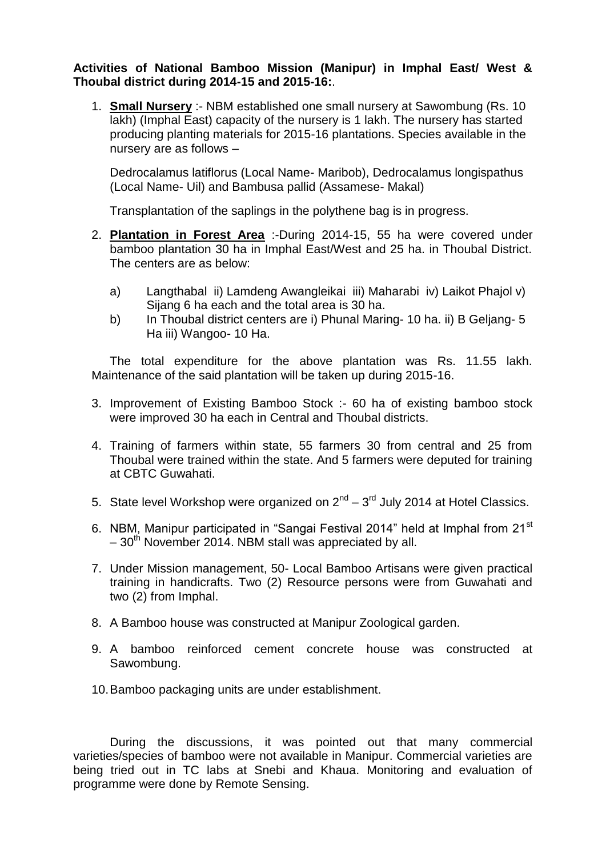**Activities of National Bamboo Mission (Manipur) in Imphal East/ West & Thoubal district during 2014-15 and 2015-16:**.

1. **Small Nursery** :- NBM established one small nursery at Sawombung (Rs. 10 lakh) (Imphal East) capacity of the nursery is 1 lakh. The nursery has started producing planting materials for 2015-16 plantations. Species available in the nursery are as follows –

Dedrocalamus latiflorus (Local Name- Maribob), Dedrocalamus longispathus (Local Name- Uil) and Bambusa pallid (Assamese- Makal)

Transplantation of the saplings in the polythene bag is in progress.

- 2. **Plantation in Forest Area** :-During 2014-15, 55 ha were covered under bamboo plantation 30 ha in Imphal East/West and 25 ha. in Thoubal District. The centers are as below:
	- a) Langthabal ii) Lamdeng Awangleikai iii) Maharabi iv) Laikot Phajol v) Sijang 6 ha each and the total area is 30 ha.
	- b) In Thoubal district centers are i) Phunal Maring- 10 ha. ii) B Geljang- 5 Ha iii) Wangoo- 10 Ha.

The total expenditure for the above plantation was Rs. 11.55 lakh. Maintenance of the said plantation will be taken up during 2015-16.

- 3. Improvement of Existing Bamboo Stock :- 60 ha of existing bamboo stock were improved 30 ha each in Central and Thoubal districts.
- 4. Training of farmers within state, 55 farmers 30 from central and 25 from Thoubal were trained within the state. And 5 farmers were deputed for training at CBTC Guwahati.
- 5. State level Workshop were organized on  $2^{nd}$   $3^{rd}$  July 2014 at Hotel Classics.
- 6. NBM. Manipur participated in "Sangai Festival 2014" held at Imphal from 21<sup>st</sup>  $-30<sup>th</sup>$  November 2014. NBM stall was appreciated by all.
- 7. Under Mission management, 50- Local Bamboo Artisans were given practical training in handicrafts. Two (2) Resource persons were from Guwahati and two (2) from Imphal.
- 8. A Bamboo house was constructed at Manipur Zoological garden.
- 9. A bamboo reinforced cement concrete house was constructed at Sawombung.
- 10.Bamboo packaging units are under establishment.

During the discussions, it was pointed out that many commercial varieties/species of bamboo were not available in Manipur. Commercial varieties are being tried out in TC labs at Snebi and Khaua. Monitoring and evaluation of programme were done by Remote Sensing.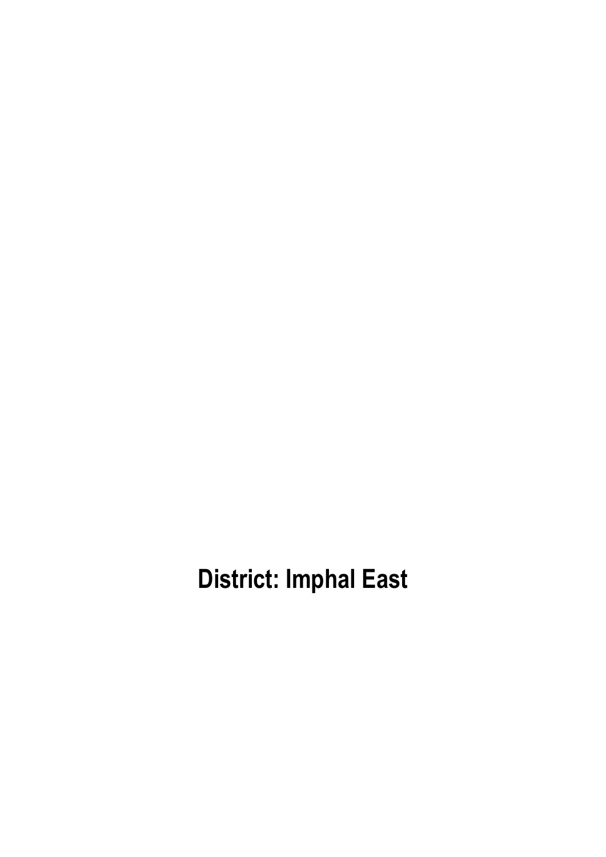**District: Imphal East**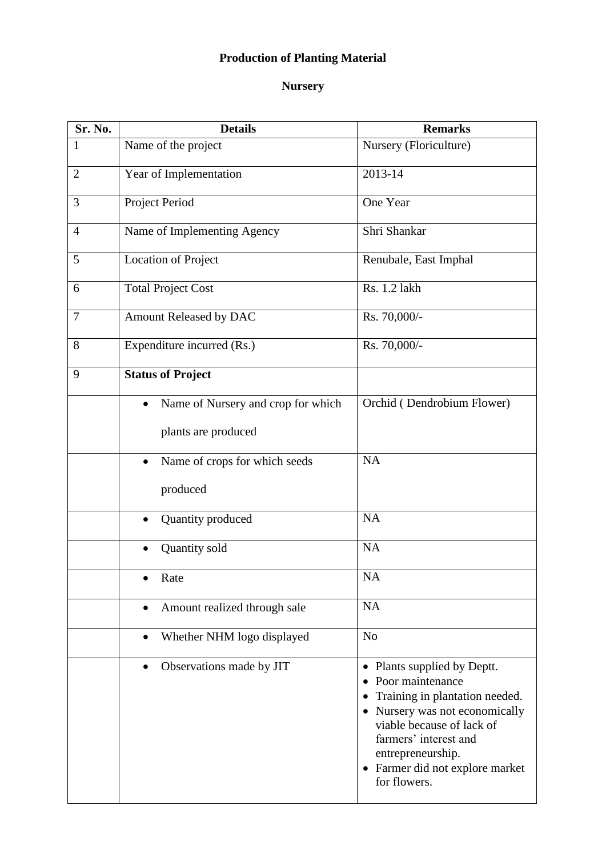# **Production of Planting Material**

## **Nursery**

| Sr. No.        | <b>Details</b>                                  | <b>Remarks</b>                                                                                                                                                                                                                                                                     |
|----------------|-------------------------------------------------|------------------------------------------------------------------------------------------------------------------------------------------------------------------------------------------------------------------------------------------------------------------------------------|
| 1              | Name of the project                             | Nursery (Floriculture)                                                                                                                                                                                                                                                             |
| $\overline{2}$ | Year of Implementation                          | 2013-14                                                                                                                                                                                                                                                                            |
| 3              | Project Period                                  | One Year                                                                                                                                                                                                                                                                           |
| $\overline{4}$ | Name of Implementing Agency                     | Shri Shankar                                                                                                                                                                                                                                                                       |
| 5              | Location of Project                             | Renubale, East Imphal                                                                                                                                                                                                                                                              |
| 6              | <b>Total Project Cost</b>                       | Rs. 1.2 lakh                                                                                                                                                                                                                                                                       |
| $\tau$         | Amount Released by DAC                          | Rs. 70,000/-                                                                                                                                                                                                                                                                       |
| 8              | Expenditure incurred (Rs.)                      | Rs. 70,000/-                                                                                                                                                                                                                                                                       |
| 9              | <b>Status of Project</b>                        |                                                                                                                                                                                                                                                                                    |
|                | Name of Nursery and crop for which<br>$\bullet$ | Orchid (Dendrobium Flower)                                                                                                                                                                                                                                                         |
|                | plants are produced                             |                                                                                                                                                                                                                                                                                    |
|                | Name of crops for which seeds<br>$\bullet$      | <b>NA</b>                                                                                                                                                                                                                                                                          |
|                | produced                                        |                                                                                                                                                                                                                                                                                    |
|                | Quantity produced                               | NA                                                                                                                                                                                                                                                                                 |
|                | Quantity sold                                   | <b>NA</b>                                                                                                                                                                                                                                                                          |
|                | Rate                                            | <b>NA</b>                                                                                                                                                                                                                                                                          |
|                | Amount realized through sale<br>$\bullet$       | NA                                                                                                                                                                                                                                                                                 |
|                | Whether NHM logo displayed<br>$\bullet$         | N <sub>o</sub>                                                                                                                                                                                                                                                                     |
|                | Observations made by JIT<br>$\bullet$           | Plants supplied by Deptt.<br>$\bullet$<br>Poor maintenance<br>Training in plantation needed.<br>Nursery was not economically<br>$\bullet$<br>viable because of lack of<br>farmers' interest and<br>entrepreneurship.<br>Farmer did not explore market<br>$\bullet$<br>for flowers. |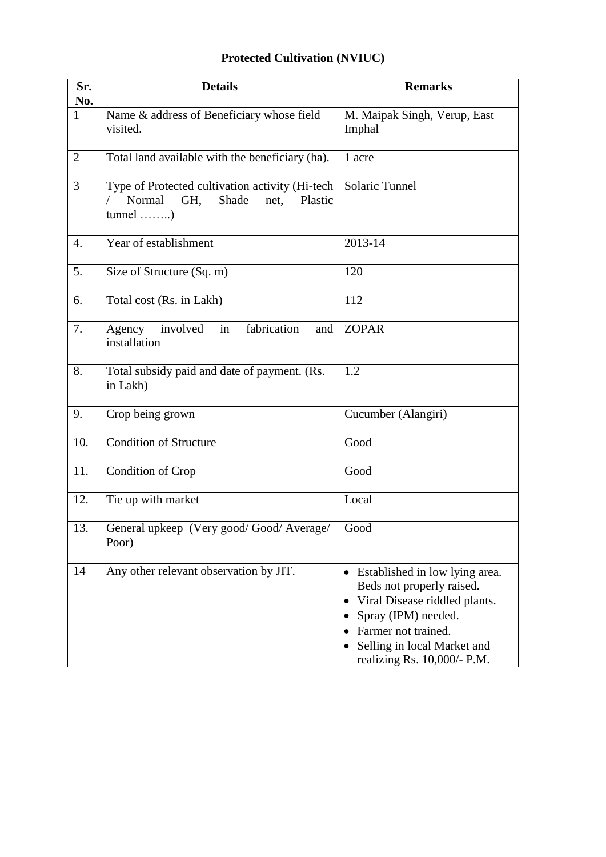# **Protected Cultivation (NVIUC)**

| Sr.<br>No.     | <b>Details</b>                                                                                             | <b>Remarks</b>                                                                                                                                                                                             |
|----------------|------------------------------------------------------------------------------------------------------------|------------------------------------------------------------------------------------------------------------------------------------------------------------------------------------------------------------|
| $\mathbf{1}$   | Name & address of Beneficiary whose field<br>visited.                                                      | M. Maipak Singh, Verup, East<br>Imphal                                                                                                                                                                     |
| $\overline{2}$ | Total land available with the beneficiary (ha).                                                            | 1 acre                                                                                                                                                                                                     |
| 3              | Type of Protected cultivation activity (Hi-tech<br>Normal<br>GH.<br>Shade<br>Plastic<br>net.<br>$tunnel$ ) | Solaric Tunnel                                                                                                                                                                                             |
| 4.             | Year of establishment                                                                                      | 2013-14                                                                                                                                                                                                    |
| 5.             | Size of Structure (Sq. m)                                                                                  | 120                                                                                                                                                                                                        |
| 6.             | Total cost (Rs. in Lakh)                                                                                   | 112                                                                                                                                                                                                        |
| 7.             | fabrication<br>involved<br>in<br>Agency<br>and<br>installation                                             | <b>ZOPAR</b>                                                                                                                                                                                               |
| 8.             | Total subsidy paid and date of payment. (Rs.<br>in Lakh)                                                   | 1.2                                                                                                                                                                                                        |
| 9.             | Crop being grown                                                                                           | Cucumber (Alangiri)                                                                                                                                                                                        |
| 10.            | <b>Condition of Structure</b>                                                                              | Good                                                                                                                                                                                                       |
| 11.            | Condition of Crop                                                                                          | Good                                                                                                                                                                                                       |
| 12.            | Tie up with market                                                                                         | Local                                                                                                                                                                                                      |
| 13.            | General upkeep (Very good/Good/Average/<br>Poor)                                                           | Good                                                                                                                                                                                                       |
| 14             | Any other relevant observation by JIT.                                                                     | • Established in low lying area.<br>Beds not properly raised.<br>Viral Disease riddled plants.<br>Spray (IPM) needed.<br>Farmer not trained.<br>Selling in local Market and<br>realizing Rs. 10,000/- P.M. |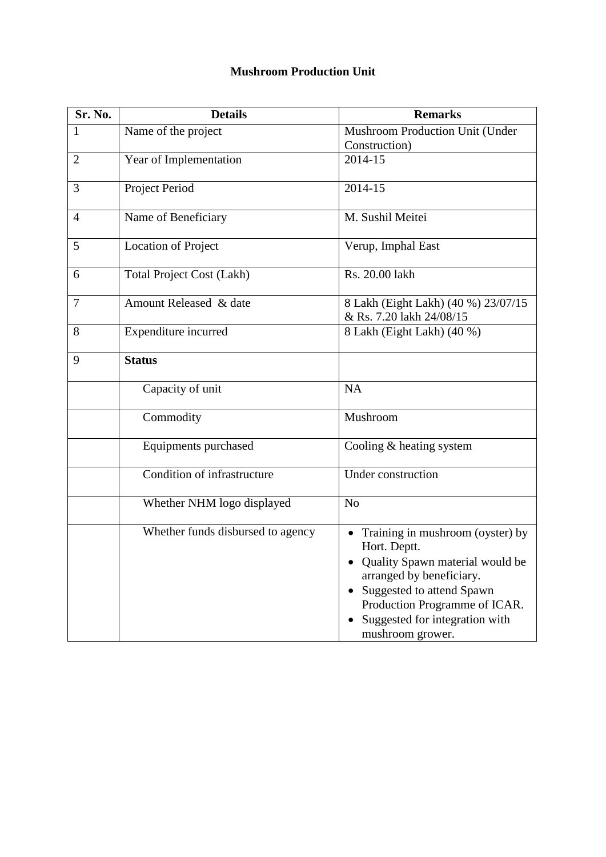#### **Mushroom Production Unit**

| Sr. No.        | <b>Details</b>                    | <b>Remarks</b>                                                                                                                                                                                                                          |
|----------------|-----------------------------------|-----------------------------------------------------------------------------------------------------------------------------------------------------------------------------------------------------------------------------------------|
| 1              | Name of the project               | Mushroom Production Unit (Under                                                                                                                                                                                                         |
|                |                                   | Construction)                                                                                                                                                                                                                           |
| $\overline{2}$ | Year of Implementation            | 2014-15                                                                                                                                                                                                                                 |
| 3              | Project Period                    | 2014-15                                                                                                                                                                                                                                 |
| $\overline{4}$ | Name of Beneficiary               | M. Sushil Meitei                                                                                                                                                                                                                        |
| 5              | <b>Location of Project</b>        | Verup, Imphal East                                                                                                                                                                                                                      |
| 6              | <b>Total Project Cost (Lakh)</b>  | Rs. 20.00 lakh                                                                                                                                                                                                                          |
| 7              | Amount Released & date            | 8 Lakh (Eight Lakh) (40 %) 23/07/15<br>& Rs. 7.20 lakh 24/08/15                                                                                                                                                                         |
| 8              | Expenditure incurred              | 8 Lakh (Eight Lakh) (40 %)                                                                                                                                                                                                              |
| 9              | <b>Status</b>                     |                                                                                                                                                                                                                                         |
|                | Capacity of unit                  | <b>NA</b>                                                                                                                                                                                                                               |
|                | Commodity                         | Mushroom                                                                                                                                                                                                                                |
|                | Equipments purchased              | Cooling $&$ heating system                                                                                                                                                                                                              |
|                | Condition of infrastructure       | Under construction                                                                                                                                                                                                                      |
|                | Whether NHM logo displayed        | N <sub>0</sub>                                                                                                                                                                                                                          |
|                | Whether funds disbursed to agency | • Training in mushroom (oyster) by<br>Hort. Deptt.<br>Quality Spawn material would be<br>arranged by beneficiary.<br>• Suggested to attend Spawn<br>Production Programme of ICAR.<br>Suggested for integration with<br>mushroom grower. |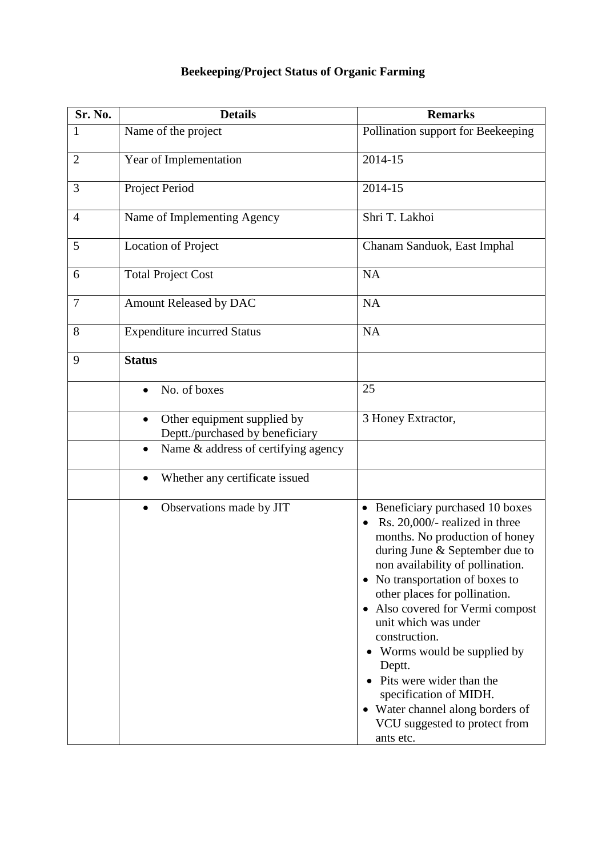## **Beekeeping/Project Status of Organic Farming**

| Sr. No.        | <b>Details</b>                                                      | <b>Remarks</b>                                                                                                                                                                                                                                                                                                                                                                                                                                                                                                                      |
|----------------|---------------------------------------------------------------------|-------------------------------------------------------------------------------------------------------------------------------------------------------------------------------------------------------------------------------------------------------------------------------------------------------------------------------------------------------------------------------------------------------------------------------------------------------------------------------------------------------------------------------------|
| 1              | Name of the project                                                 | Pollination support for Beekeeping                                                                                                                                                                                                                                                                                                                                                                                                                                                                                                  |
| $\overline{2}$ | Year of Implementation                                              | 2014-15                                                                                                                                                                                                                                                                                                                                                                                                                                                                                                                             |
| 3              | Project Period                                                      | 2014-15                                                                                                                                                                                                                                                                                                                                                                                                                                                                                                                             |
| $\overline{4}$ | Name of Implementing Agency                                         | Shri T. Lakhoi                                                                                                                                                                                                                                                                                                                                                                                                                                                                                                                      |
| 5              | <b>Location of Project</b>                                          | Chanam Sanduok, East Imphal                                                                                                                                                                                                                                                                                                                                                                                                                                                                                                         |
| 6              | <b>Total Project Cost</b>                                           | <b>NA</b>                                                                                                                                                                                                                                                                                                                                                                                                                                                                                                                           |
| $\overline{7}$ | Amount Released by DAC                                              | <b>NA</b>                                                                                                                                                                                                                                                                                                                                                                                                                                                                                                                           |
| 8              | <b>Expenditure incurred Status</b>                                  | <b>NA</b>                                                                                                                                                                                                                                                                                                                                                                                                                                                                                                                           |
| 9              | <b>Status</b>                                                       |                                                                                                                                                                                                                                                                                                                                                                                                                                                                                                                                     |
|                | No. of boxes                                                        | 25                                                                                                                                                                                                                                                                                                                                                                                                                                                                                                                                  |
|                | Other equipment supplied by<br>٠<br>Deptt./purchased by beneficiary | 3 Honey Extractor,                                                                                                                                                                                                                                                                                                                                                                                                                                                                                                                  |
|                | Name & address of certifying agency<br>٠                            |                                                                                                                                                                                                                                                                                                                                                                                                                                                                                                                                     |
|                | Whether any certificate issued<br>$\bullet$                         |                                                                                                                                                                                                                                                                                                                                                                                                                                                                                                                                     |
|                | Observations made by JIT                                            | Beneficiary purchased 10 boxes<br>$\bullet$<br>Rs. 20,000/- realized in three<br>months. No production of honey<br>during June & September due to<br>non availability of pollination.<br>• No transportation of boxes to<br>other places for pollination.<br>Also covered for Vermi compost<br>$\bullet$<br>unit which was under<br>construction.<br>• Worms would be supplied by<br>Deptt.<br>Pits were wider than the<br>specification of MIDH.<br>• Water channel along borders of<br>VCU suggested to protect from<br>ants etc. |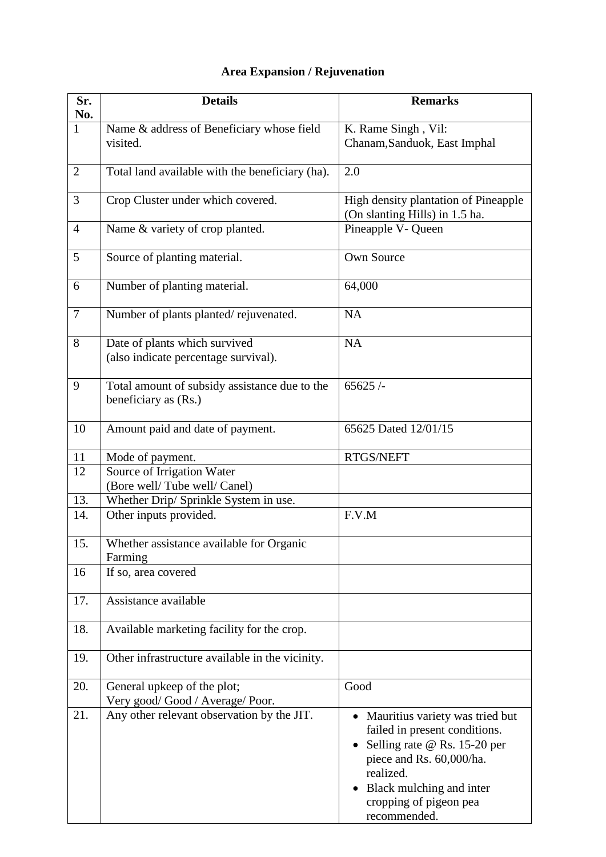## **Area Expansion / Rejuvenation**

| Sr.<br>No.     | <b>Details</b>                                                        | <b>Remarks</b>                                                                                                                                                                                                  |
|----------------|-----------------------------------------------------------------------|-----------------------------------------------------------------------------------------------------------------------------------------------------------------------------------------------------------------|
| $\overline{1}$ | Name & address of Beneficiary whose field<br>visited.                 | K. Rame Singh, Vil:<br>Chanam, Sanduok, East Imphal                                                                                                                                                             |
| $\overline{2}$ | Total land available with the beneficiary (ha).                       | 2.0                                                                                                                                                                                                             |
| 3              | Crop Cluster under which covered.                                     | High density plantation of Pineapple<br>(On slanting Hills) in 1.5 ha.                                                                                                                                          |
| $\overline{4}$ | Name & variety of crop planted.                                       | Pineapple V- Queen                                                                                                                                                                                              |
| 5              | Source of planting material.                                          | Own Source                                                                                                                                                                                                      |
| 6              | Number of planting material.                                          | 64,000                                                                                                                                                                                                          |
| $\overline{7}$ | Number of plants planted/rejuvenated.                                 | <b>NA</b>                                                                                                                                                                                                       |
| 8              | Date of plants which survived<br>(also indicate percentage survival). | <b>NA</b>                                                                                                                                                                                                       |
| 9              | Total amount of subsidy assistance due to the<br>beneficiary as (Rs.) | 65625/                                                                                                                                                                                                          |
| 10             | Amount paid and date of payment.                                      | 65625 Dated 12/01/15                                                                                                                                                                                            |
| 11             | Mode of payment.                                                      | RTGS/NEFT                                                                                                                                                                                                       |
| 12             | Source of Irrigation Water<br>(Bore well/Tube well/Canel)             |                                                                                                                                                                                                                 |
| 13.            | Whether Drip/ Sprinkle System in use.                                 |                                                                                                                                                                                                                 |
| 14.            | Other inputs provided.                                                | F.V.M                                                                                                                                                                                                           |
| 15.            | Whether assistance available for Organic<br>Farming                   |                                                                                                                                                                                                                 |
| 16             | If so, area covered                                                   |                                                                                                                                                                                                                 |
| 17.            | Assistance available                                                  |                                                                                                                                                                                                                 |
| 18.            | Available marketing facility for the crop.                            |                                                                                                                                                                                                                 |
| 19.            | Other infrastructure available in the vicinity.                       |                                                                                                                                                                                                                 |
| 20.            | General upkeep of the plot;<br>Very good/Good / Average/Poor.         | Good                                                                                                                                                                                                            |
| 21.            | Any other relevant observation by the JIT.                            | Mauritius variety was tried but<br>failed in present conditions.<br>Selling rate @ Rs. 15-20 per<br>piece and Rs. 60,000/ha.<br>realized.<br>Black mulching and inter<br>cropping of pigeon pea<br>recommended. |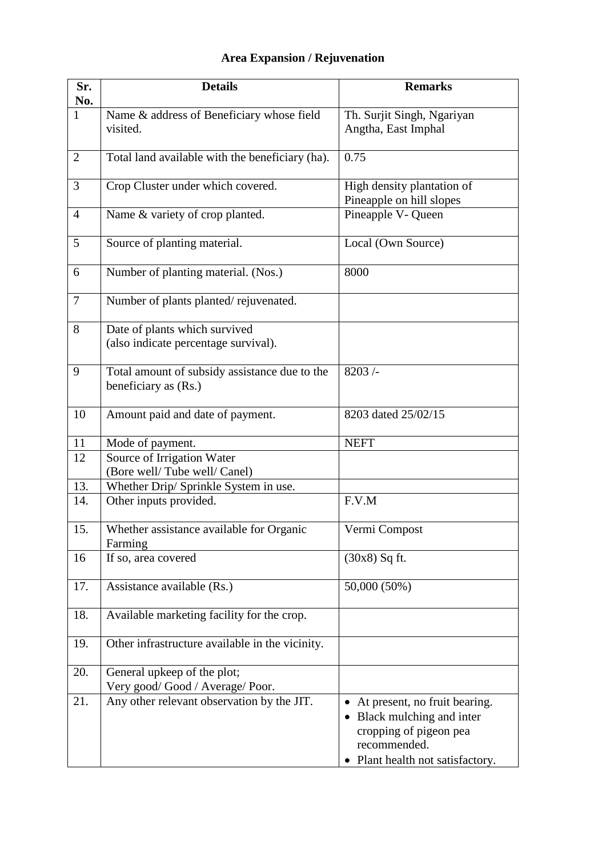# **Area Expansion / Rejuvenation**

| Sr.<br>No.     | <b>Details</b>                                                        | <b>Remarks</b>                                                                                                                                     |
|----------------|-----------------------------------------------------------------------|----------------------------------------------------------------------------------------------------------------------------------------------------|
| $\mathbf{1}$   | Name & address of Beneficiary whose field<br>visited.                 | Th. Surjit Singh, Ngariyan<br>Angtha, East Imphal                                                                                                  |
| 2              | Total land available with the beneficiary (ha).                       | 0.75                                                                                                                                               |
| 3              | Crop Cluster under which covered.                                     | High density plantation of<br>Pineapple on hill slopes                                                                                             |
| $\overline{4}$ | Name & variety of crop planted.                                       | Pineapple V- Queen                                                                                                                                 |
| 5              | Source of planting material.                                          | Local (Own Source)                                                                                                                                 |
| 6              | Number of planting material. (Nos.)                                   | 8000                                                                                                                                               |
| $\tau$         | Number of plants planted/rejuvenated.                                 |                                                                                                                                                    |
| 8              | Date of plants which survived<br>(also indicate percentage survival). |                                                                                                                                                    |
| 9              | Total amount of subsidy assistance due to the<br>beneficiary as (Rs.) | 8203/                                                                                                                                              |
| 10             | Amount paid and date of payment.                                      | 8203 dated 25/02/15                                                                                                                                |
| 11             | Mode of payment.                                                      | <b>NEFT</b>                                                                                                                                        |
| 12             | Source of Irrigation Water<br>(Bore well/Tube well/Canel)             |                                                                                                                                                    |
| 13.            | Whether Drip/ Sprinkle System in use.                                 |                                                                                                                                                    |
| 14.            | Other inputs provided.                                                | F.V.M                                                                                                                                              |
| 15.            | Whether assistance available for Organic<br>Farming                   | Vermi Compost                                                                                                                                      |
| 16             | If so, area covered                                                   | $(30x8)$ Sq ft.                                                                                                                                    |
| 17.            | Assistance available (Rs.)                                            | 50,000 (50%)                                                                                                                                       |
| 18.            | Available marketing facility for the crop.                            |                                                                                                                                                    |
| 19.            | Other infrastructure available in the vicinity.                       |                                                                                                                                                    |
| 20.            | General upkeep of the plot;<br>Very good/Good / Average/Poor.         |                                                                                                                                                    |
| 21.            | Any other relevant observation by the JIT.                            | At present, no fruit bearing.<br>Black mulching and inter<br>$\bullet$<br>cropping of pigeon pea<br>recommended.<br>Plant health not satisfactory. |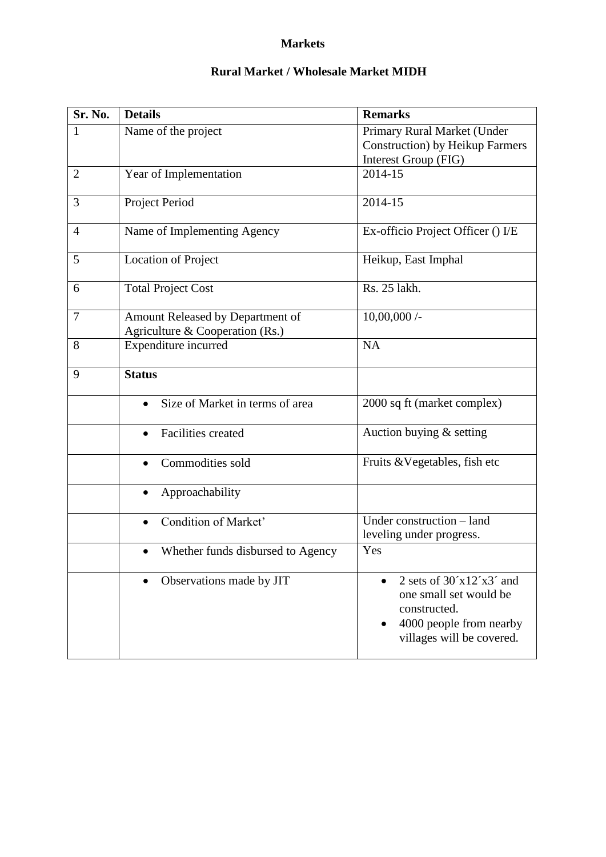#### **Markets**

### **Rural Market / Wholesale Market MIDH**

| Sr. No.        | <b>Details</b>                                                      | <b>Remarks</b>                                                                                                               |
|----------------|---------------------------------------------------------------------|------------------------------------------------------------------------------------------------------------------------------|
| 1              | Name of the project                                                 | Primary Rural Market (Under<br><b>Construction</b> ) by Heikup Farmers<br>Interest Group (FIG)                               |
| $\overline{2}$ | Year of Implementation                                              | 2014-15                                                                                                                      |
| 3              | Project Period                                                      | 2014-15                                                                                                                      |
| 4              | Name of Implementing Agency                                         | Ex-officio Project Officer () I/E                                                                                            |
| 5              | <b>Location of Project</b>                                          | Heikup, East Imphal                                                                                                          |
| 6              | <b>Total Project Cost</b>                                           | Rs. 25 lakh.                                                                                                                 |
| $\overline{7}$ | Amount Released by Department of<br>Agriculture & Cooperation (Rs.) | $10,00,000/$ -                                                                                                               |
| 8              | Expenditure incurred                                                | <b>NA</b>                                                                                                                    |
| 9              | <b>Status</b>                                                       |                                                                                                                              |
|                | Size of Market in terms of area<br>$\bullet$                        | 2000 sq ft (market complex)                                                                                                  |
|                | <b>Facilities created</b><br>$\bullet$                              | Auction buying & setting                                                                                                     |
|                | Commodities sold<br>$\bullet$                                       | Fruits & Vegetables, fish etc                                                                                                |
|                | Approachability<br>$\bullet$                                        |                                                                                                                              |
|                | Condition of Market'<br>$\bullet$                                   | Under construction - land<br>leveling under progress.                                                                        |
|                | Whether funds disbursed to Agency<br>$\bullet$                      | Yes                                                                                                                          |
|                | Observations made by JIT<br>$\bullet$                               | 2 sets of $30'x12'x3'$ and<br>one small set would be<br>constructed.<br>4000 people from nearby<br>villages will be covered. |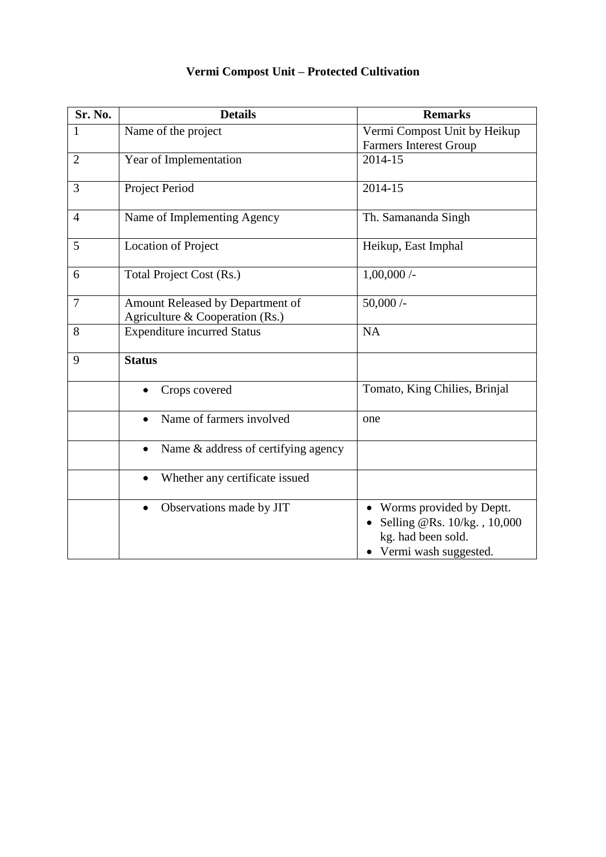| Sr. No.        | <b>Details</b>                                                      | <b>Remarks</b>                                                                                         |
|----------------|---------------------------------------------------------------------|--------------------------------------------------------------------------------------------------------|
| $\mathbf{1}$   | Name of the project                                                 | Vermi Compost Unit by Heikup<br><b>Farmers Interest Group</b>                                          |
| $\overline{2}$ | Year of Implementation                                              | 2014-15                                                                                                |
| 3              | Project Period                                                      | 2014-15                                                                                                |
| 4              | Name of Implementing Agency                                         | Th. Samananda Singh                                                                                    |
| 5              | <b>Location of Project</b>                                          | Heikup, East Imphal                                                                                    |
| 6              | Total Project Cost (Rs.)                                            | $1,00,000/$ -                                                                                          |
| $\overline{7}$ | Amount Released by Department of<br>Agriculture & Cooperation (Rs.) | 50,000/                                                                                                |
| 8              | <b>Expenditure incurred Status</b>                                  | <b>NA</b>                                                                                              |
| 9              | <b>Status</b>                                                       |                                                                                                        |
|                | Crops covered                                                       | Tomato, King Chilies, Brinjal                                                                          |
|                | Name of farmers involved<br>$\bullet$                               | one                                                                                                    |
|                | Name & address of certifying agency<br>$\bullet$                    |                                                                                                        |
|                | Whether any certificate issued<br>$\bullet$                         |                                                                                                        |
|                | Observations made by JIT<br>$\bullet$                               | Worms provided by Deptt.<br>Selling @Rs. 10/kg., 10,000<br>kg. had been sold.<br>Vermi wash suggested. |

## **Vermi Compost Unit – Protected Cultivation**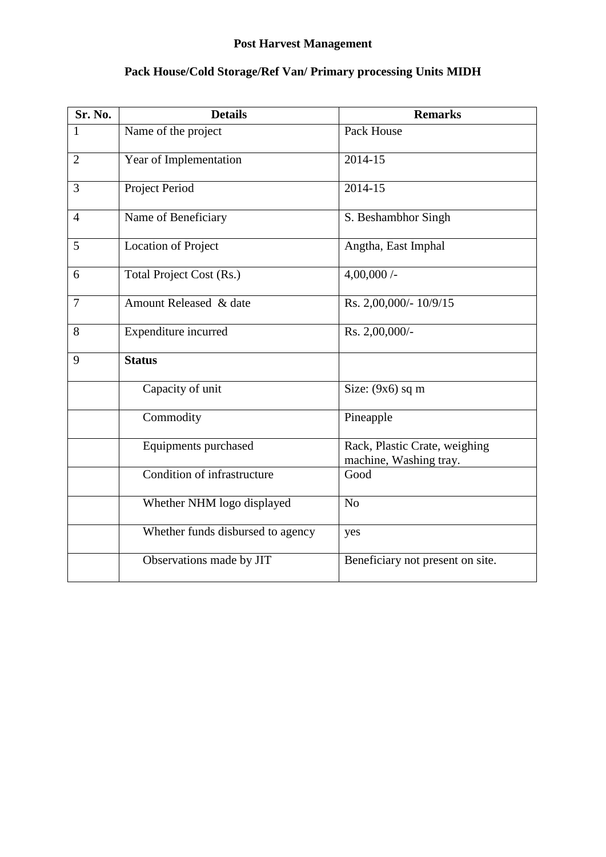# **Post Harvest Management**

| Sr. No.        | <b>Details</b>                    | <b>Remarks</b>                                          |
|----------------|-----------------------------------|---------------------------------------------------------|
| $\mathbf{1}$   | Name of the project               | Pack House                                              |
| $\overline{2}$ | Year of Implementation            | 2014-15                                                 |
| 3              | Project Period                    | 2014-15                                                 |
| $\overline{4}$ | Name of Beneficiary               | S. Beshambhor Singh                                     |
| 5              | <b>Location of Project</b>        | Angtha, East Imphal                                     |
| 6              | Total Project Cost (Rs.)          | $4,00,000/$ -                                           |
| 7              | Amount Released & date            | Rs. 2,00,000/- 10/9/15                                  |
| 8              | Expenditure incurred              | Rs. 2,00,000/-                                          |
| 9              | <b>Status</b>                     |                                                         |
|                | Capacity of unit                  | Size: $(9x6)$ sq m                                      |
|                | Commodity                         | Pineapple                                               |
|                | Equipments purchased              | Rack, Plastic Crate, weighing<br>machine, Washing tray. |
|                | Condition of infrastructure       | Good                                                    |
|                | Whether NHM logo displayed        | N <sub>o</sub>                                          |
|                | Whether funds disbursed to agency | yes                                                     |
|                | Observations made by JIT          | Beneficiary not present on site.                        |

# **Pack House/Cold Storage/Ref Van/ Primary processing Units MIDH**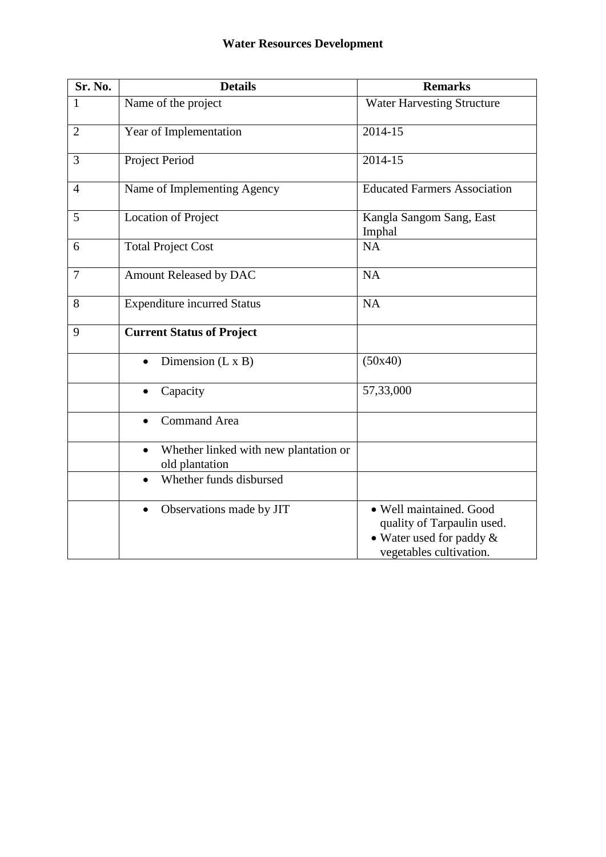| Sr. No.        | <b>Details</b>                                                       | <b>Remarks</b>                                                                                                  |
|----------------|----------------------------------------------------------------------|-----------------------------------------------------------------------------------------------------------------|
| 1              | Name of the project                                                  | <b>Water Harvesting Structure</b>                                                                               |
| $\overline{2}$ | Year of Implementation                                               | 2014-15                                                                                                         |
| 3              | Project Period                                                       | 2014-15                                                                                                         |
| $\overline{4}$ | Name of Implementing Agency                                          | <b>Educated Farmers Association</b>                                                                             |
| 5              | <b>Location of Project</b>                                           | Kangla Sangom Sang, East<br>Imphal                                                                              |
| 6              | <b>Total Project Cost</b>                                            | <b>NA</b>                                                                                                       |
| $\overline{7}$ | Amount Released by DAC                                               | <b>NA</b>                                                                                                       |
| 8              | <b>Expenditure incurred Status</b>                                   | <b>NA</b>                                                                                                       |
| 9              | <b>Current Status of Project</b>                                     |                                                                                                                 |
|                | Dimension $(L \times B)$                                             | (50x40)                                                                                                         |
|                | Capacity<br>$\bullet$                                                | 57,33,000                                                                                                       |
|                | <b>Command Area</b>                                                  |                                                                                                                 |
|                | Whether linked with new plantation or<br>$\bullet$<br>old plantation |                                                                                                                 |
|                | Whether funds disbursed<br>$\bullet$                                 |                                                                                                                 |
|                | Observations made by JIT<br>$\bullet$                                | · Well maintained. Good<br>quality of Tarpaulin used.<br>• Water used for paddy $\&$<br>vegetables cultivation. |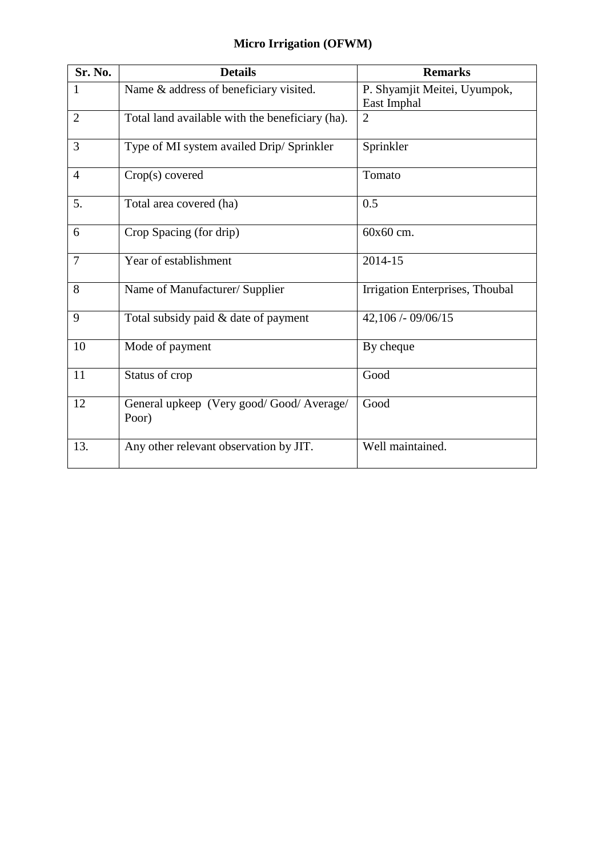| Sr. No.        | <b>Details</b>                                   | <b>Remarks</b>                              |
|----------------|--------------------------------------------------|---------------------------------------------|
| 1              | Name & address of beneficiary visited.           | P. Shyamjit Meitei, Uyumpok,<br>East Imphal |
| $\overline{2}$ | Total land available with the beneficiary (ha).  | $\overline{2}$                              |
| 3              | Type of MI system availed Drip/Sprinkler         | Sprinkler                                   |
| $\overline{4}$ | $Crop(s)$ covered                                | Tomato                                      |
| 5.             | Total area covered (ha)                          | 0.5                                         |
| 6              | Crop Spacing (for drip)                          | 60x60 cm.                                   |
| $\overline{7}$ | Year of establishment                            | 2014-15                                     |
| 8              | Name of Manufacturer/ Supplier                   | Irrigation Enterprises, Thoubal             |
| 9              | Total subsidy paid & date of payment             | 42,106 / - 09/06/15                         |
| 10             | Mode of payment                                  | By cheque                                   |
| 11             | Status of crop                                   | Good                                        |
| 12             | General upkeep (Very good/Good/Average/<br>Poor) | Good                                        |
| 13.            | Any other relevant observation by JIT.           | Well maintained.                            |

# **Micro Irrigation (OFWM)**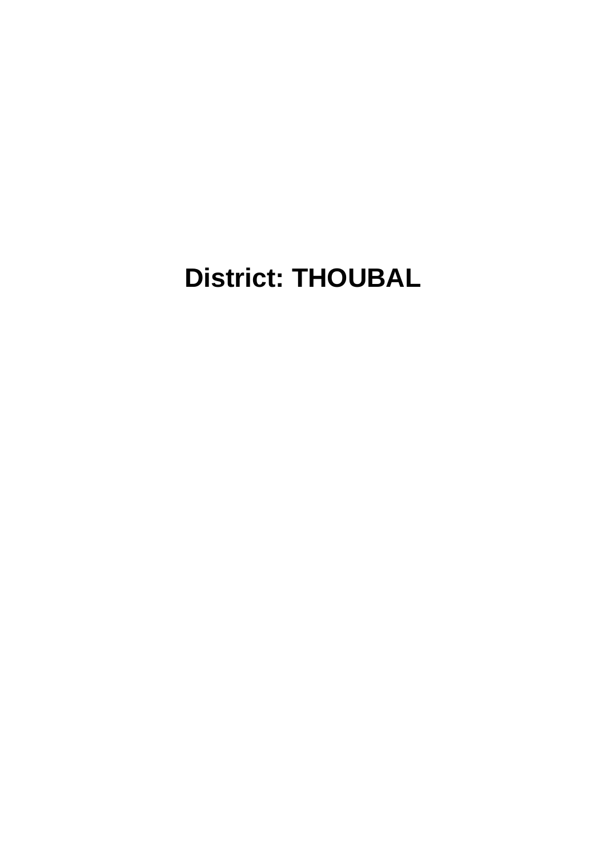# **District: THOUBAL**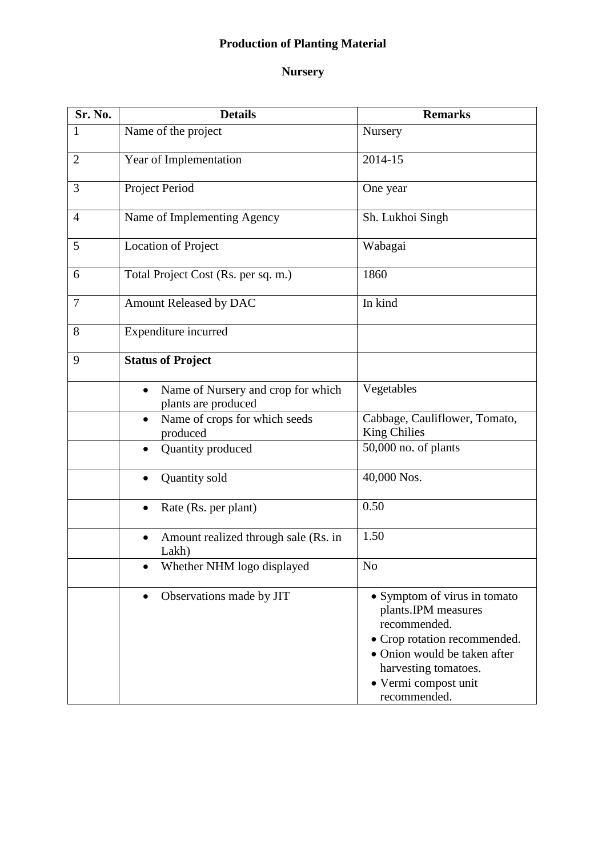# **Production of Planting Material**

## **Nursery**

| Sr. No.        | <b>Details</b>                                                         | <b>Remarks</b>                                                                                                                                                                                      |
|----------------|------------------------------------------------------------------------|-----------------------------------------------------------------------------------------------------------------------------------------------------------------------------------------------------|
| 1              | Name of the project                                                    | Nursery                                                                                                                                                                                             |
| $\overline{2}$ | Year of Implementation                                                 | 2014-15                                                                                                                                                                                             |
| 3              | Project Period                                                         | One year                                                                                                                                                                                            |
| 4              | Name of Implementing Agency                                            | Sh. Lukhoi Singh                                                                                                                                                                                    |
| 5              | <b>Location of Project</b>                                             | Wabagai                                                                                                                                                                                             |
| 6              | Total Project Cost (Rs. per sq. m.)                                    | 1860                                                                                                                                                                                                |
| 7              | Amount Released by DAC                                                 | In kind                                                                                                                                                                                             |
| 8              | Expenditure incurred                                                   |                                                                                                                                                                                                     |
| 9              | <b>Status of Project</b>                                               |                                                                                                                                                                                                     |
|                | Name of Nursery and crop for which<br>$\bullet$<br>plants are produced | Vegetables                                                                                                                                                                                          |
|                | Name of crops for which seeds<br>$\bullet$<br>produced                 | Cabbage, Cauliflower, Tomato,<br><b>King Chilies</b>                                                                                                                                                |
|                | Quantity produced<br>$\bullet$                                         | 50,000 no. of plants                                                                                                                                                                                |
|                | Quantity sold                                                          | 40,000 Nos.                                                                                                                                                                                         |
|                | Rate (Rs. per plant)<br>$\bullet$                                      | 0.50                                                                                                                                                                                                |
|                | Amount realized through sale (Rs. in<br>$\bullet$<br>Lakh)             | 1.50                                                                                                                                                                                                |
|                | Whether NHM logo displayed                                             | N <sub>o</sub>                                                                                                                                                                                      |
|                | Observations made by JIT<br>$\bullet$                                  | • Symptom of virus in tomato<br>plants.IPM measures<br>recommended.<br>• Crop rotation recommended.<br>• Onion would be taken after<br>harvesting tomatoes.<br>· Vermi compost unit<br>recommended. |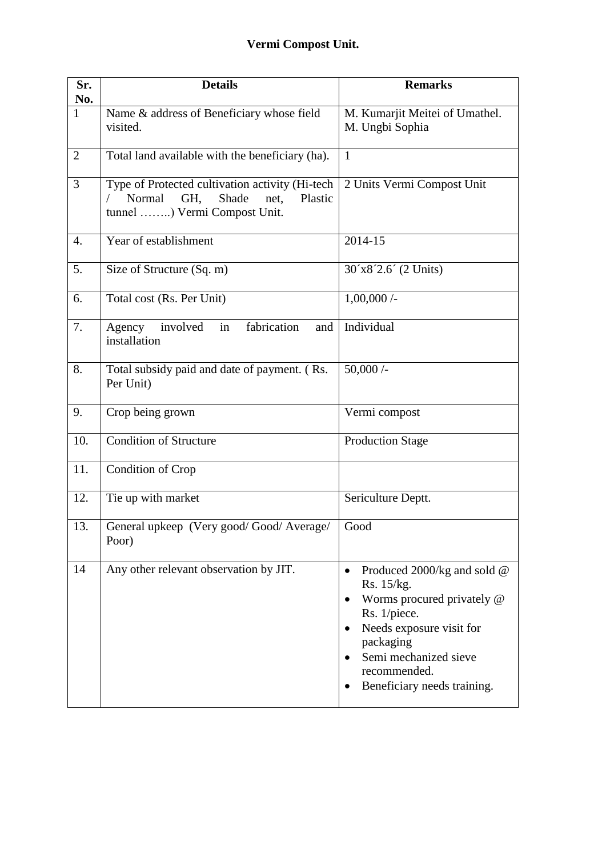| Sr.<br>No.   | <b>Details</b>                                                                                                               | <b>Remarks</b>                                                                                                                                                                                                                                                    |
|--------------|------------------------------------------------------------------------------------------------------------------------------|-------------------------------------------------------------------------------------------------------------------------------------------------------------------------------------------------------------------------------------------------------------------|
| $\mathbf{1}$ | Name & address of Beneficiary whose field<br>visited.                                                                        | M. Kumarjit Meitei of Umathel.<br>M. Ungbi Sophia                                                                                                                                                                                                                 |
| 2            | Total land available with the beneficiary (ha).                                                                              | $\mathbf{1}$                                                                                                                                                                                                                                                      |
| 3            | Type of Protected cultivation activity (Hi-tech<br>Normal<br>GH.<br>Shade<br>Plastic<br>net.<br>tunnel ) Vermi Compost Unit. | 2 Units Vermi Compost Unit                                                                                                                                                                                                                                        |
| 4.           | Year of establishment                                                                                                        | 2014-15                                                                                                                                                                                                                                                           |
| 5.           | Size of Structure (Sq. m)                                                                                                    | 30'x8'2.6' (2 Units)                                                                                                                                                                                                                                              |
| 6.           | Total cost (Rs. Per Unit)                                                                                                    | 1,00,000/                                                                                                                                                                                                                                                         |
| 7.           | in<br>fabrication<br>involved<br>Agency<br>and<br>installation                                                               | Individual                                                                                                                                                                                                                                                        |
| 8.           | Total subsidy paid and date of payment. (Rs.<br>Per Unit)                                                                    | 50,000/                                                                                                                                                                                                                                                           |
| 9.           | Crop being grown                                                                                                             | Vermi compost                                                                                                                                                                                                                                                     |
| 10.          | <b>Condition of Structure</b>                                                                                                | <b>Production Stage</b>                                                                                                                                                                                                                                           |
| 11.          | Condition of Crop                                                                                                            |                                                                                                                                                                                                                                                                   |
| 12.          | Tie up with market                                                                                                           | Sericulture Deptt.                                                                                                                                                                                                                                                |
| 13.          | General upkeep (Very good/Good/Average/<br>Poor)                                                                             | Good                                                                                                                                                                                                                                                              |
| 14           | Any other relevant observation by JIT.                                                                                       | Produced 2000/kg and sold @<br>$\bullet$<br>Rs. 15/kg.<br>Worms procured privately @<br>$\bullet$<br>Rs. 1/piece.<br>Needs exposure visit for<br>$\bullet$<br>packaging<br>Semi mechanized sieve<br>$\bullet$<br>recommended.<br>Beneficiary needs training.<br>٠ |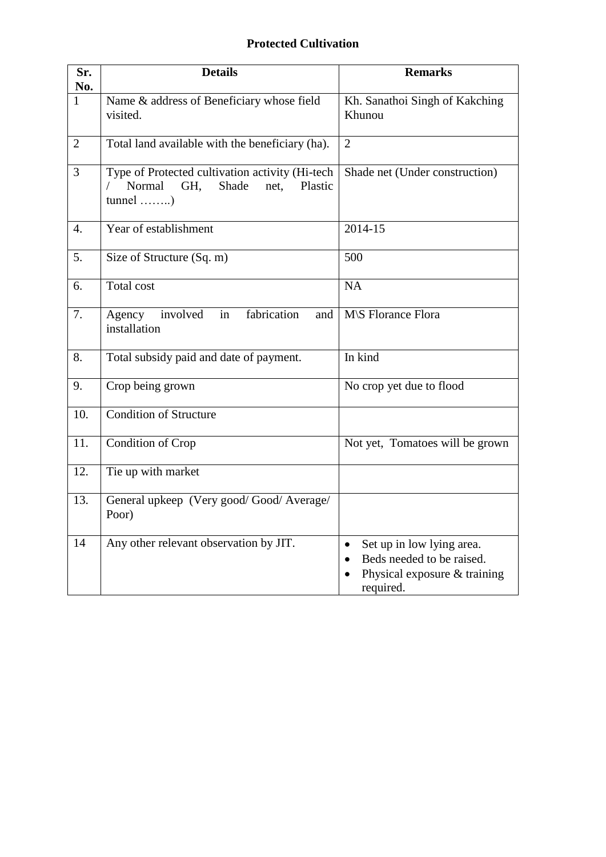## **Protected Cultivation**

| Sr.<br>No.     | <b>Details</b>                                                                                                        | <b>Remarks</b>                                                                                                                  |
|----------------|-----------------------------------------------------------------------------------------------------------------------|---------------------------------------------------------------------------------------------------------------------------------|
| $\mathbf{1}$   | Name & address of Beneficiary whose field<br>visited.                                                                 | Kh. Sanathoi Singh of Kakching<br>Khunou                                                                                        |
| $\overline{2}$ | Total land available with the beneficiary (ha).                                                                       | $\overline{2}$                                                                                                                  |
| 3              | Type of Protected cultivation activity (Hi-tech<br>Normal<br>Shade<br>Plastic<br>GH,<br>net.<br>$tunnel \dots \dots)$ | Shade net (Under construction)                                                                                                  |
| 4.             | Year of establishment                                                                                                 | 2014-15                                                                                                                         |
| 5.             | Size of Structure (Sq. m)                                                                                             | 500                                                                                                                             |
| 6.             | <b>Total cost</b>                                                                                                     | NA                                                                                                                              |
| 7.             | fabrication<br>involved<br>in<br>Agency<br>and<br>installation                                                        | M\S Florance Flora                                                                                                              |
| 8.             | Total subsidy paid and date of payment.                                                                               | In kind                                                                                                                         |
| 9.             | Crop being grown                                                                                                      | No crop yet due to flood                                                                                                        |
| 10.            | <b>Condition of Structure</b>                                                                                         |                                                                                                                                 |
| 11.            | Condition of Crop                                                                                                     | Not yet, Tomatoes will be grown                                                                                                 |
| 12.            | Tie up with market                                                                                                    |                                                                                                                                 |
| 13.            | General upkeep (Very good/Good/Average/<br>Poor)                                                                      |                                                                                                                                 |
| 14             | Any other relevant observation by JIT.                                                                                | Set up in low lying area.<br>$\bullet$<br>Beds needed to be raised.<br>$\bullet$<br>Physical exposure $&$ training<br>required. |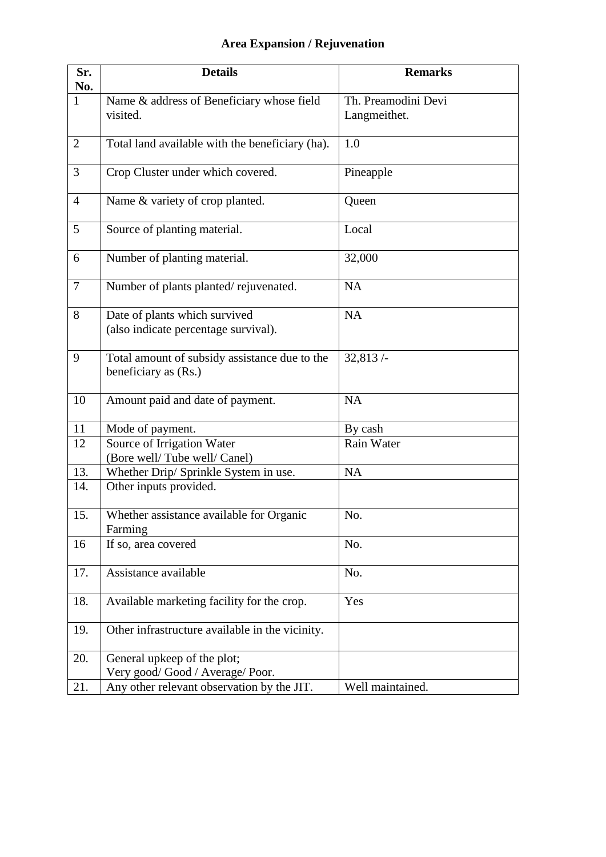# **Area Expansion / Rejuvenation**

| Sr.<br>No.      | <b>Details</b>                                                        | <b>Remarks</b>                      |
|-----------------|-----------------------------------------------------------------------|-------------------------------------|
| $\mathbf{1}$    | Name & address of Beneficiary whose field<br>visited.                 | Th. Preamodini Devi<br>Langmeithet. |
| 2               | Total land available with the beneficiary (ha).                       | 1.0                                 |
| $\overline{3}$  | Crop Cluster under which covered.                                     | Pineapple                           |
| $\overline{4}$  | Name & variety of crop planted.                                       | Queen                               |
| $5\overline{)}$ | Source of planting material.                                          | Local                               |
| 6               | Number of planting material.                                          | 32,000                              |
| $\tau$          | Number of plants planted/rejuvenated.                                 | <b>NA</b>                           |
| 8               | Date of plants which survived<br>(also indicate percentage survival). | <b>NA</b>                           |
| 9               | Total amount of subsidy assistance due to the<br>beneficiary as (Rs.) | 32,813/                             |
| 10              | Amount paid and date of payment.                                      | <b>NA</b>                           |
| 11              | Mode of payment.                                                      | By cash                             |
| 12              | Source of Irrigation Water<br>(Bore well/Tube well/Canel)             | Rain Water                          |
| 13.             | Whether Drip/ Sprinkle System in use.                                 | <b>NA</b>                           |
| 14.             | Other inputs provided.                                                |                                     |
| 15.             | Whether assistance available for Organic<br>Farming                   | No.                                 |
| 16              | If so, area covered                                                   | No.                                 |
| 17.             | Assistance available                                                  | No.                                 |
| 18.             | Available marketing facility for the crop.                            | Yes                                 |
| 19.             | Other infrastructure available in the vicinity.                       |                                     |
| 20.             | General upkeep of the plot;                                           |                                     |
|                 | Very good/Good / Average/Poor.                                        |                                     |
| 21.             | Any other relevant observation by the JIT.                            | Well maintained.                    |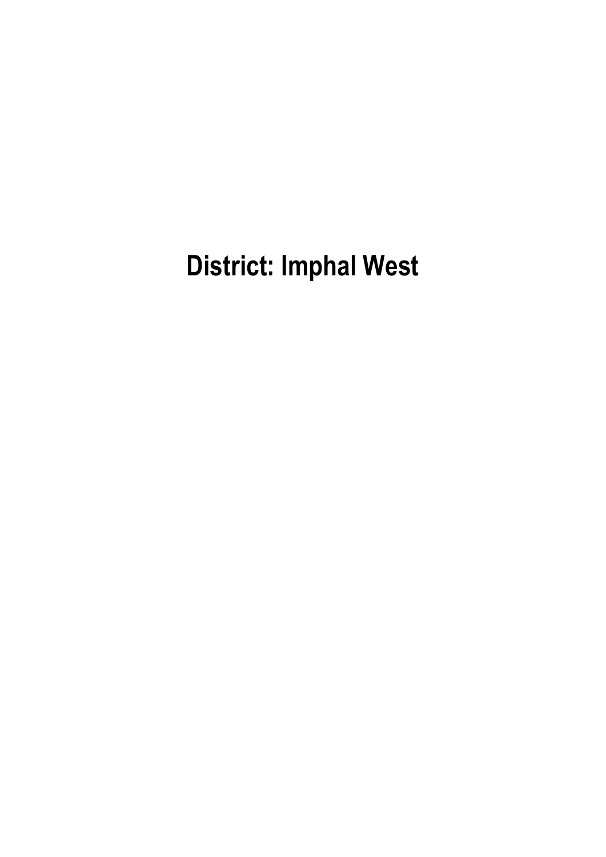**District: Imphal West**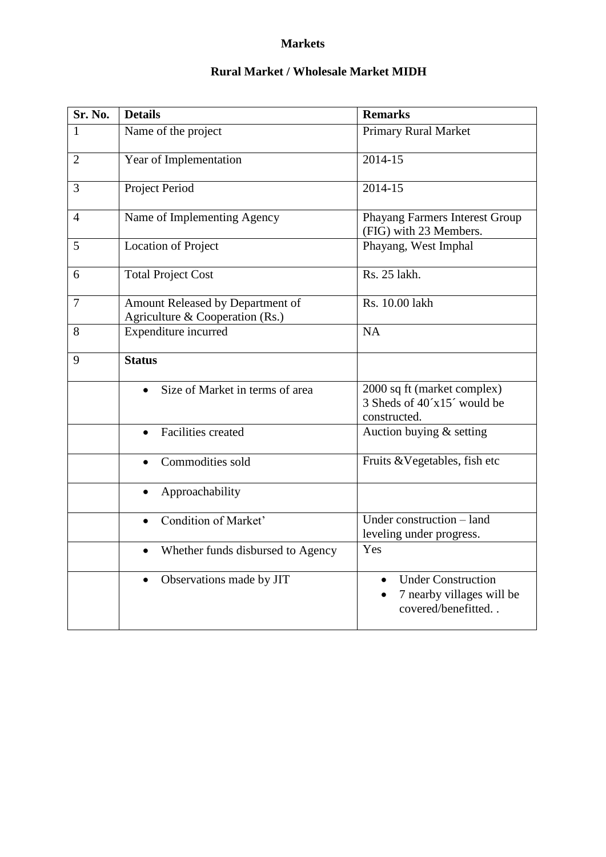#### **Markets**

#### **Rural Market / Wholesale Market MIDH**

| Sr. No.        | <b>Details</b>                                                      | <b>Remarks</b>                                                               |
|----------------|---------------------------------------------------------------------|------------------------------------------------------------------------------|
| 1              | Name of the project                                                 | <b>Primary Rural Market</b>                                                  |
| $\overline{2}$ | Year of Implementation                                              | 2014-15                                                                      |
| 3              | Project Period                                                      | 2014-15                                                                      |
| $\overline{4}$ | Name of Implementing Agency                                         | Phayang Farmers Interest Group<br>(FIG) with 23 Members.                     |
| 5              | <b>Location of Project</b>                                          | Phayang, West Imphal                                                         |
| 6              | <b>Total Project Cost</b>                                           | Rs. 25 lakh.                                                                 |
| $\overline{7}$ | Amount Released by Department of<br>Agriculture & Cooperation (Rs.) | Rs. 10.00 lakh                                                               |
| 8              | Expenditure incurred                                                | <b>NA</b>                                                                    |
| 9              | <b>Status</b>                                                       |                                                                              |
|                | Size of Market in terms of area<br>$\bullet$                        | 2000 sq ft (market complex)<br>3 Sheds of 40'x15' would be<br>constructed.   |
|                | <b>Facilities created</b><br>$\bullet$                              | Auction buying & setting                                                     |
|                | Commodities sold                                                    | Fruits & Vegetables, fish etc                                                |
|                | Approachability<br>$\bullet$                                        |                                                                              |
|                | Condition of Market'<br>$\bullet$                                   | Under construction - land<br>leveling under progress.                        |
|                | Whether funds disbursed to Agency<br>$\bullet$                      | Yes                                                                          |
|                | Observations made by JIT<br>$\bullet$                               | <b>Under Construction</b><br>7 nearby villages will be<br>covered/benefitted |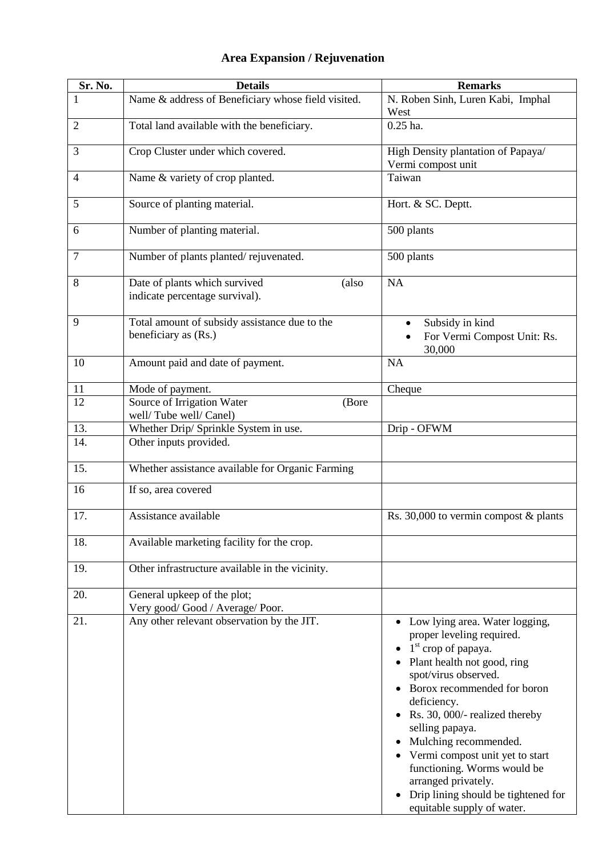| Sr. No.        | <b>Details</b>                                                           | <b>Remarks</b>                                                                                                                                                                                                                                                                                                                                                                                                                                       |
|----------------|--------------------------------------------------------------------------|------------------------------------------------------------------------------------------------------------------------------------------------------------------------------------------------------------------------------------------------------------------------------------------------------------------------------------------------------------------------------------------------------------------------------------------------------|
|                | Name & address of Beneficiary whose field visited.                       | N. Roben Sinh, Luren Kabi, Imphal<br>West                                                                                                                                                                                                                                                                                                                                                                                                            |
| $\overline{2}$ | Total land available with the beneficiary.                               | $0.25$ ha.                                                                                                                                                                                                                                                                                                                                                                                                                                           |
| 3              | Crop Cluster under which covered.                                        | High Density plantation of Papaya/<br>Vermi compost unit                                                                                                                                                                                                                                                                                                                                                                                             |
| $\overline{4}$ | Name & variety of crop planted.                                          | Taiwan                                                                                                                                                                                                                                                                                                                                                                                                                                               |
| 5              | Source of planting material.                                             | Hort. & SC. Deptt.                                                                                                                                                                                                                                                                                                                                                                                                                                   |
| 6              | Number of planting material.                                             | 500 plants                                                                                                                                                                                                                                                                                                                                                                                                                                           |
| 7              | Number of plants planted/rejuvenated.                                    | 500 plants                                                                                                                                                                                                                                                                                                                                                                                                                                           |
| 8              | Date of plants which survived<br>(also<br>indicate percentage survival). | <b>NA</b>                                                                                                                                                                                                                                                                                                                                                                                                                                            |
| 9              | Total amount of subsidy assistance due to the<br>beneficiary as (Rs.)    | Subsidy in kind<br>٠<br>For Vermi Compost Unit: Rs.<br>30,000                                                                                                                                                                                                                                                                                                                                                                                        |
| 10             | Amount paid and date of payment.                                         | <b>NA</b>                                                                                                                                                                                                                                                                                                                                                                                                                                            |
| 11             | Mode of payment.                                                         | Cheque                                                                                                                                                                                                                                                                                                                                                                                                                                               |
| 12             | Source of Irrigation Water<br>(Bore<br>well/Tube well/Canel)             |                                                                                                                                                                                                                                                                                                                                                                                                                                                      |
| 13.            | Whether Drip/ Sprinkle System in use.                                    | Drip - OFWM                                                                                                                                                                                                                                                                                                                                                                                                                                          |
| 14.            | Other inputs provided.                                                   |                                                                                                                                                                                                                                                                                                                                                                                                                                                      |
| 15.            | Whether assistance available for Organic Farming                         |                                                                                                                                                                                                                                                                                                                                                                                                                                                      |
| 16             | If so, area covered                                                      |                                                                                                                                                                                                                                                                                                                                                                                                                                                      |
| 17.            | Assistance available                                                     | Rs. 30,000 to vermin compost $&$ plants                                                                                                                                                                                                                                                                                                                                                                                                              |
| 18.            | Available marketing facility for the crop.                               |                                                                                                                                                                                                                                                                                                                                                                                                                                                      |
| 19.            | Other infrastructure available in the vicinity.                          |                                                                                                                                                                                                                                                                                                                                                                                                                                                      |
| 20.            | General upkeep of the plot;<br>Very good/Good / Average/Poor.            |                                                                                                                                                                                                                                                                                                                                                                                                                                                      |
| 21.            | Any other relevant observation by the JIT.                               | Low lying area. Water logging,<br>proper leveling required.<br>$1st$ crop of papaya.<br>Plant health not good, ring<br>spot/virus observed.<br>Borox recommended for boron<br>deficiency.<br>Rs. 30, 000/- realized thereby<br>selling papaya.<br>Mulching recommended.<br>• Vermi compost unit yet to start<br>functioning. Worms would be<br>arranged privately.<br>Drip lining should be tightened for<br>$\bullet$<br>equitable supply of water. |

# **Area Expansion / Rejuvenation**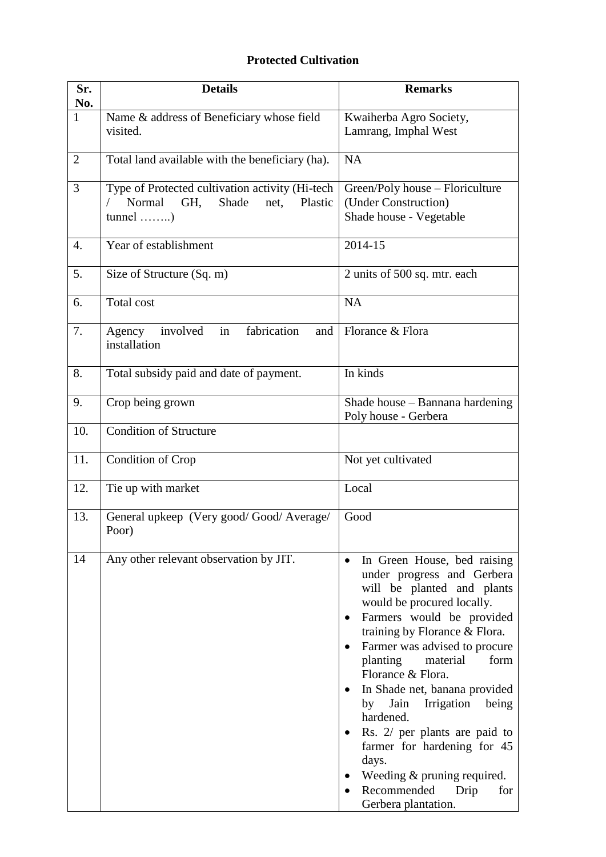## **Protected Cultivation**

| Sr.<br>No.   | <b>Details</b>                                                                               | <b>Remarks</b>                                                                                                                                                                                                                                                                                                                                                                                                                                                                                                                                     |
|--------------|----------------------------------------------------------------------------------------------|----------------------------------------------------------------------------------------------------------------------------------------------------------------------------------------------------------------------------------------------------------------------------------------------------------------------------------------------------------------------------------------------------------------------------------------------------------------------------------------------------------------------------------------------------|
| $\mathbf{1}$ | Name & address of Beneficiary whose field<br>visited.                                        | Kwaiherba Agro Society,<br>Lamrang, Imphal West                                                                                                                                                                                                                                                                                                                                                                                                                                                                                                    |
| 2            | Total land available with the beneficiary (ha).                                              | <b>NA</b>                                                                                                                                                                                                                                                                                                                                                                                                                                                                                                                                          |
| 3            | Type of Protected cultivation activity (Hi-tech<br>Normal<br>Shade<br>GH,<br>Plastic<br>net, | Green/Poly house - Floriculture<br>(Under Construction)<br>Shade house - Vegetable                                                                                                                                                                                                                                                                                                                                                                                                                                                                 |
| 4.           | Year of establishment                                                                        | 2014-15                                                                                                                                                                                                                                                                                                                                                                                                                                                                                                                                            |
| 5.           | Size of Structure (Sq. m)                                                                    | 2 units of 500 sq. mtr. each                                                                                                                                                                                                                                                                                                                                                                                                                                                                                                                       |
| 6.           | Total cost                                                                                   | <b>NA</b>                                                                                                                                                                                                                                                                                                                                                                                                                                                                                                                                          |
| 7.           | in<br>fabrication<br>Agency involved<br>and<br>installation                                  | Florance & Flora                                                                                                                                                                                                                                                                                                                                                                                                                                                                                                                                   |
| 8.           | Total subsidy paid and date of payment.                                                      | In kinds                                                                                                                                                                                                                                                                                                                                                                                                                                                                                                                                           |
| 9.           | Crop being grown                                                                             | Shade house – Bannana hardening<br>Poly house - Gerbera                                                                                                                                                                                                                                                                                                                                                                                                                                                                                            |
| 10.          | <b>Condition of Structure</b>                                                                |                                                                                                                                                                                                                                                                                                                                                                                                                                                                                                                                                    |
| 11.          | Condition of Crop                                                                            | Not yet cultivated                                                                                                                                                                                                                                                                                                                                                                                                                                                                                                                                 |
| 12.          | Tie up with market                                                                           | Local                                                                                                                                                                                                                                                                                                                                                                                                                                                                                                                                              |
| 13.          | General upkeep (Very good/Good/Average/<br>Poor)                                             | Good                                                                                                                                                                                                                                                                                                                                                                                                                                                                                                                                               |
| 14           | Any other relevant observation by JIT.                                                       | In Green House, bed raising<br>$\bullet$<br>under progress and Gerbera<br>will be planted and plants<br>would be procured locally.<br>Farmers would be provided<br>$\bullet$<br>training by Florance & Flora.<br>Farmer was advised to procure<br>planting<br>form<br>material<br>Florance & Flora.<br>In Shade net, banana provided<br>Irrigation<br>by Jain<br>being<br>hardened.<br>Rs. 2/ per plants are paid to<br>farmer for hardening for 45<br>days.<br>Weeding $&$ pruning required.<br>Recommended<br>Drip<br>for<br>Gerbera plantation. |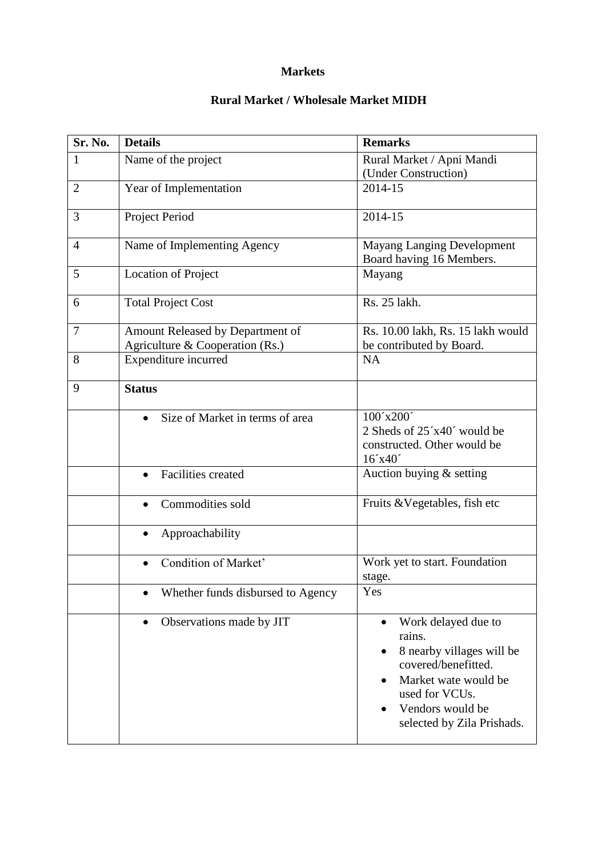#### **Markets**

## **Rural Market / Wholesale Market MIDH**

| Sr. No.        | <b>Details</b>                         | <b>Remarks</b>                                                                                                                                                                             |
|----------------|----------------------------------------|--------------------------------------------------------------------------------------------------------------------------------------------------------------------------------------------|
| $\mathbf{1}$   | Name of the project                    | Rural Market / Apni Mandi                                                                                                                                                                  |
|                |                                        | (Under Construction)                                                                                                                                                                       |
| $\overline{2}$ | Year of Implementation                 | 2014-15                                                                                                                                                                                    |
| 3              | Project Period                         | 2014-15                                                                                                                                                                                    |
| $\overline{4}$ | Name of Implementing Agency            | <b>Mayang Langing Development</b><br>Board having 16 Members.                                                                                                                              |
| 5              | <b>Location of Project</b>             | Mayang                                                                                                                                                                                     |
| 6              | <b>Total Project Cost</b>              | Rs. 25 lakh.                                                                                                                                                                               |
| $\overline{7}$ | Amount Released by Department of       | Rs. 10.00 lakh, Rs. 15 lakh would                                                                                                                                                          |
|                | Agriculture & Cooperation (Rs.)        | be contributed by Board.                                                                                                                                                                   |
| 8              | Expenditure incurred                   | <b>NA</b>                                                                                                                                                                                  |
| 9              | <b>Status</b>                          |                                                                                                                                                                                            |
|                | Size of Market in terms of area        | 100'x200'<br>2 Sheds of 25'x40' would be<br>constructed. Other would be<br>16'x40'                                                                                                         |
|                | <b>Facilities</b> created<br>$\bullet$ | Auction buying & setting                                                                                                                                                                   |
|                | Commodities sold                       | Fruits & Vegetables, fish etc                                                                                                                                                              |
|                | Approachability<br>$\bullet$           |                                                                                                                                                                                            |
|                | Condition of Market'                   | Work yet to start. Foundation<br>stage.                                                                                                                                                    |
|                | Whether funds disbursed to Agency      | Yes                                                                                                                                                                                        |
|                | Observations made by JIT<br>$\bullet$  | Work delayed due to<br>$\bullet$<br>rains.<br>8 nearby villages will be<br>covered/benefitted.<br>Market wate would be<br>used for VCUs.<br>Vendors would be<br>selected by Zila Prishads. |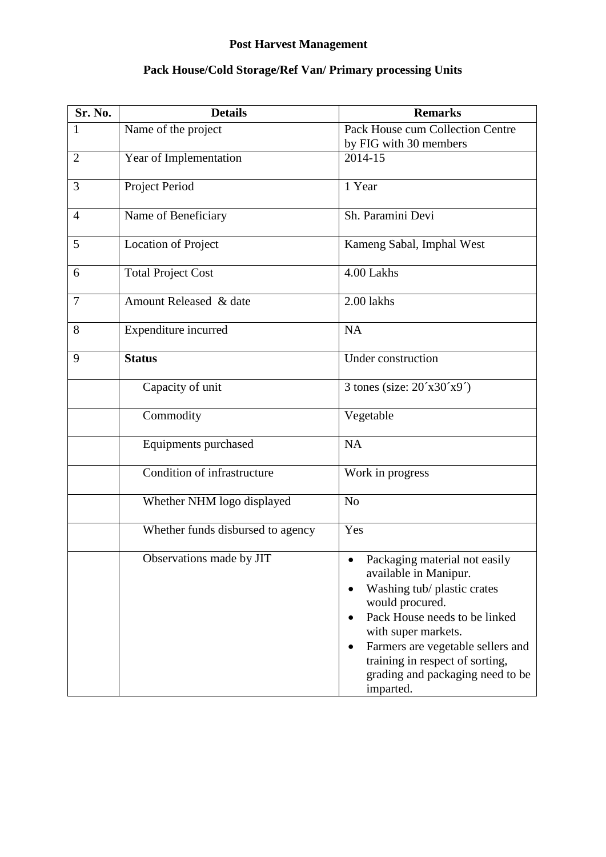#### **Post Harvest Management**

# **Sr. No. Details Remarks** 1 Name of the project Pack House cum Collection Centre by FIG with 30 members 2 Year of Implementation 2014-15 3 Project Period 1 Year 4 Name of Beneficiary Sh. Paramini Devi 5 Location of Project Kameng Sabal, Imphal West 6 Total Project Cost 4.00 Lakhs 7 Amount Released & date 2.00 lakhs 8 Expenditure incurred NA 9 **Status** Under construction Capacity of unit  $\frac{3 \text{ tones}}{3 \text{ tones}}$  (size:  $20\degree \text{x}30\degree \text{x}9\degree$ ) Commodity Vegetable Equipments purchased NA Condition of infrastructure Work in progress Whether NHM logo displayed No Whether funds disbursed to agency Yes Observations made by JIT **Packaging material not easily** available in Manipur. Washing tub/ plastic crates would procured. • Pack House needs to be linked with super markets. • Farmers are vegetable sellers and training in respect of sorting, grading and packaging need to be imparted.

#### **Pack House/Cold Storage/Ref Van/ Primary processing Units**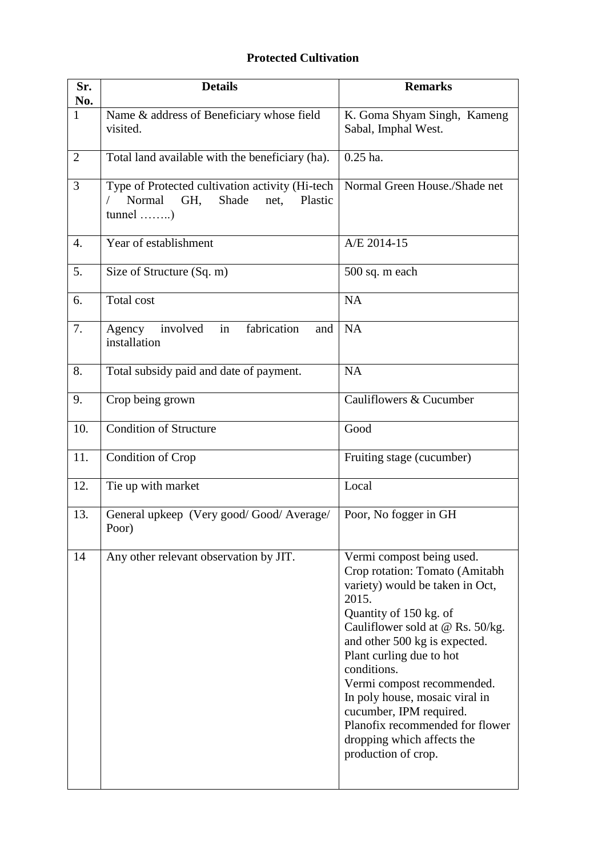## **Protected Cultivation**

| Sr.<br>No.       | <b>Details</b>                                                                                                        | <b>Remarks</b>                                                                                                                                                                                                                                                                                                                                                                                                                       |
|------------------|-----------------------------------------------------------------------------------------------------------------------|--------------------------------------------------------------------------------------------------------------------------------------------------------------------------------------------------------------------------------------------------------------------------------------------------------------------------------------------------------------------------------------------------------------------------------------|
| $\mathbf{1}$     | Name & address of Beneficiary whose field<br>visited.                                                                 | K. Goma Shyam Singh, Kameng<br>Sabal, Imphal West.                                                                                                                                                                                                                                                                                                                                                                                   |
| $\overline{2}$   | Total land available with the beneficiary (ha).                                                                       | $0.25$ ha.                                                                                                                                                                                                                                                                                                                                                                                                                           |
| 3                | Type of Protected cultivation activity (Hi-tech<br>Normal<br>Shade<br>Plastic<br>GH.<br>net,<br>$tunnel \dots \dots)$ | Normal Green House./Shade net                                                                                                                                                                                                                                                                                                                                                                                                        |
| $\overline{4}$ . | Year of establishment                                                                                                 | A/E 2014-15                                                                                                                                                                                                                                                                                                                                                                                                                          |
| 5.               | Size of Structure (Sq. m)                                                                                             | 500 sq. m each                                                                                                                                                                                                                                                                                                                                                                                                                       |
| 6.               | Total cost                                                                                                            | <b>NA</b>                                                                                                                                                                                                                                                                                                                                                                                                                            |
| 7.               | in<br>involved<br>fabrication<br>Agency<br>and<br>installation                                                        | <b>NA</b>                                                                                                                                                                                                                                                                                                                                                                                                                            |
| 8.               | Total subsidy paid and date of payment.                                                                               | <b>NA</b>                                                                                                                                                                                                                                                                                                                                                                                                                            |
| 9.               | Crop being grown                                                                                                      | Cauliflowers & Cucumber                                                                                                                                                                                                                                                                                                                                                                                                              |
| 10.              | <b>Condition of Structure</b>                                                                                         | Good                                                                                                                                                                                                                                                                                                                                                                                                                                 |
| 11.              | Condition of Crop                                                                                                     | Fruiting stage (cucumber)                                                                                                                                                                                                                                                                                                                                                                                                            |
| 12.              | Tie up with market                                                                                                    | Local                                                                                                                                                                                                                                                                                                                                                                                                                                |
| 13.              | General upkeep (Very good/Good/Average/<br>Poor)                                                                      | Poor, No fogger in GH                                                                                                                                                                                                                                                                                                                                                                                                                |
| 14               | Any other relevant observation by JIT.                                                                                | Vermi compost being used.<br>Crop rotation: Tomato (Amitabh<br>variety) would be taken in Oct,<br>2015.<br>Quantity of 150 kg. of<br>Cauliflower sold at @ Rs. 50/kg.<br>and other 500 kg is expected.<br>Plant curling due to hot<br>conditions.<br>Vermi compost recommended.<br>In poly house, mosaic viral in<br>cucumber, IPM required.<br>Planofix recommended for flower<br>dropping which affects the<br>production of crop. |